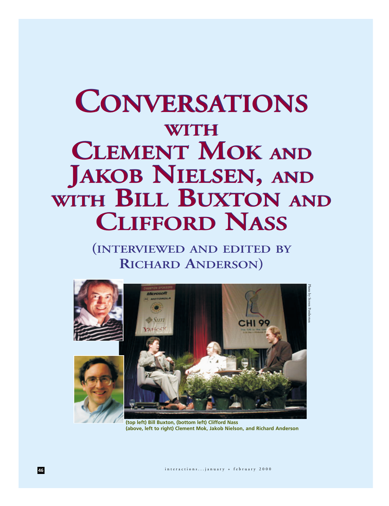# **CONVERSATIONS CONVERSATIONS WITH WITH CLEMENT MOK AND CLEMENT MOK AND JAKOB NIELSEN, AND JAKOB NIELSEN, AND WITH BILL BUXTON AND WITH BILL BUXTON AND CLIFFORD NASS CLIFFORD NASS**

**(INTERVIEWED AND EDITED BY RICHARD ANDERSON)**



**(top left) Bill Buxton, (bottom left) Clifford Nass (above, left to right) Clement Mok, Jakob Nielson, and Richard Anderson**

**46** interactions...january + february 2000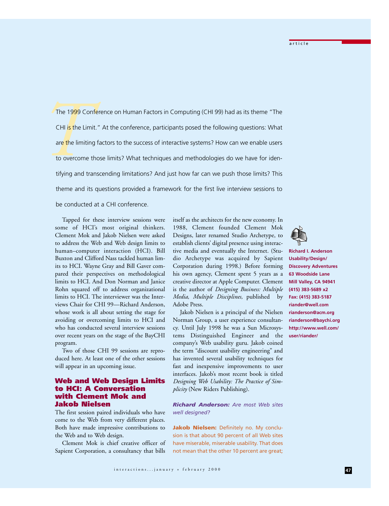The 1999 C<br>
CHI is the Li<br>
are the limit<br>
to overcome<br>
tifying and The 1999 Conference on Human Factors in Computing (CHI 99) had as its theme "The CHI is the Limit." At the conference, participants posed the following questions: What are the limiting factors to the success of interactive systems? How can we enable users to overcome those limits? What techniques and methodologies do we have for identifying and transcending limitations? And just how far can we push those limits? This theme and its questions provided a framework for the first live interview sessions to be conducted at a CHI conference.

Tapped for these interview sessions were some of HCI's most original thinkers. Clement Mok and Jakob Nielsen were asked to address the Web and Web design limits to human–computer interaction (HCI). Bill Buxton and Clifford Nass tackled human limits to HCI. Wayne Gray and Bill Gaver compared their perspectives on methodological limits to HCI. And Don Norman and Janice Rohn squared off to address organizational limits to HCI. The interviewer was the Interviews Chair for CHI 99—Richard Anderson, whose work is all about setting the stage for avoiding or overcoming limits to HCI and who has conducted several interview sessions over recent years on the stage of the BayCHI program.

Two of those CHI 99 sessions are reproduced here. At least one of the other sessions will appear in an upcoming issue.

## **Web and Web Design Limits to HCI: A Conversation with Clement Mok and Jakob Nielsen**

The first session paired individuals who have come to the Web from very different places. Both have made impressive contributions to the Web and to Web design.

Clement Mok is chief creative officer of Sapient Corporation, a consultancy that bills

itself as the architects for the new economy. In 1988, Clement founded Clement Mok Designs, later renamed Studio Archetype, to establish clients' digital presence using interactive media and eventually the Internet. (Studio Archetype was acquired by Sapient Corporation during 1998.) Before forming his own agency, Clement spent 5 years as a creative director at Apple Computer. Clement is the author of *Designing Business: Multiple Media, Multiple Disciplines,* published by Adobe Press.

Jakob Nielsen is a principal of the Nielsen Norman Group, a user experience consultancy. Until July 1998 he was a Sun Microsystems Distinguished Engineer and the company's Web usability guru. Jakob coined the term "discount usability engineering" and has invented several usability techniques for fast and inexpensive improvements to user interfaces. Jakob's most recent book is titled *Designing Web Usability: The Practice of Simplicity* (New Riders Publishing).

*Richard Anderson: Are most Web sites well designed?*

**Jakob Nielsen:** Definitely no. My conclusion is that about 90 percent of all Web sites have miserable, miserable usability. That does not mean that the other 10 percent are great;



**Richard I. Anderson Usability/Design/ Discovery Adventures 63 Woodside Lane Mill Valley, CA 94941 (415) 383-5689 x2 Fax: (415) 383-5187 riander@well.com rianderson@acm.org rianderson@baychi.org http://www.well.com/ user/riander/**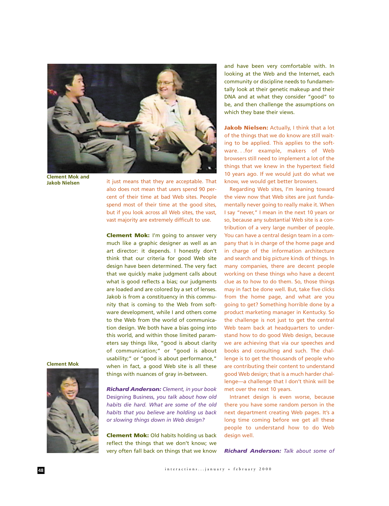

**Clement Mok and Jakob Nielsen**

it just means that they are acceptable. That also does not mean that users spend 90 percent of their time at bad Web sites. People spend most of their time at the good sites, but if you look across all Web sites, the vast, vast majority are extremely difficult to use.

**Clement Mok:** I'm going to answer very much like a graphic designer as well as an art director: it depends. I honestly don't think that our criteria for good Web site design have been determined. The very fact that we quickly make judgment calls about what is good reflects a bias; our judgments are loaded and are colored by a set of lenses. Jakob is from a constituency in this community that is coming to the Web from software development, while I and others come to the Web from the world of communication design. We both have a bias going into this world, and within those limited parameters say things like, "good is about clarity of communication;" or "good is about usability;" or "good is about performance," when in fact, a good Web site is all these things with nuances of gray in-between.

**Clement Mok**



*Richard Anderson: Clement, in your book* Designing Business, *you talk about how old habits die hard. What are some of the old habits that you believe are holding us back or slowing things down in Web design?*

**Clement Mok:** Old habits holding us back reflect the things that we don't know; we very often fall back on things that we know and have been very comfortable with. In looking at the Web and the Internet, each community or discipline needs to fundamentally look at their genetic makeup and their DNA and at what they consider "good" to be, and then challenge the assumptions on which they base their views.

**Jakob Nielsen:** Actually, I think that a lot of the things that we do know are still waiting to be applied. This applies to the software. . .for example, makers of Web browsers still need to implement a lot of the things that we knew in the hypertext field 10 years ago. If we would just do what we know, we would get better browsers.

Regarding Web sites, I'm leaning toward the view now that Web sites are just fundamentally never going to really make it. When I say "never," I mean in the next 10 years or so, because any substantial Web site is a contribution of a very large number of people. You can have a central design team in a company that is in charge of the home page and in charge of the information architecture and search and big picture kinds of things. In many companies, there are decent people working on these things who have a decent clue as to how to do them. So, those things may in fact be done well. But, take five clicks from the home page, and what are you going to get? Something horrible done by a product marketing manager in Kentucky. So the challenge is not just to get the central Web team back at headquarters to understand how to do good Web design, because we are achieving that via our speeches and books and consulting and such. The challenge is to get the thousands of people who are contributing their content to understand good Web design; that is a much harder challenge—a challenge that I don't think will be met over the next 10 years.

Intranet design is even worse, because there you have some random person in the next department creating Web pages. It's a long time coming before we get all these people to understand how to do Web design well.

*Richard Anderson: Talk about some of*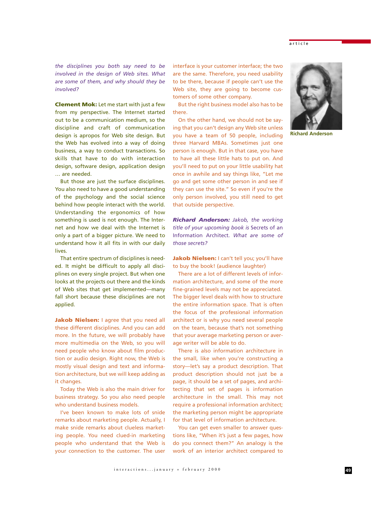## article

*the disciplines you both say need to be involved in the design of Web sites. What are some of them, and why should they be involved?*

**Clement Mok:** Let me start with just a few from my perspective. The Internet started out to be a communication medium, so the discipline and craft of communication design is apropos for Web site design. But the Web has evolved into a way of doing business, a way to conduct transactions. So skills that have to do with interaction design, software design, application design … are needed.

But those are just the surface disciplines. You also need to have a good understanding of the psychology and the social science behind how people interact with the world. Understanding the ergonomics of how something is used is not enough. The Internet and how we deal with the Internet is only a part of a bigger picture. We need to understand how it all fits in with our daily lives.

That entire spectrum of disciplines is needed. It might be difficult to apply all disciplines on every single project. But when one looks at the projects out there and the kinds of Web sites that get implemented—many fall short because these disciplines are not applied.

**Jakob Nielsen:** I agree that you need all these different disciplines. And you can add more. In the future, we will probably have more multimedia on the Web, so you will need people who know about film production or audio design. Right now, the Web is mostly visual design and text and information architecture, but we will keep adding as it changes.

Today the Web is also the main driver for business strategy. So you also need people who understand business models.

I've been known to make lots of snide remarks about marketing people. Actually, I make snide remarks about clueless marketing people. You need clued-in marketing people who understand that the Web is your connection to the customer. The user interface is your customer interface; the two are the same. Therefore, you need usability to be there, because if people can't use the Web site, they are going to become customers of some other company.

But the right business model also has to be there.

On the other hand, we should not be saying that you can't design any Web site unless you have a team of 50 people, including three Harvard MBAs. Sometimes just one person is enough. But in that case, you have to have all these little hats to put on. And you'll need to put on your little usability hat once in awhile and say things like, "Let me go and get some other person in and see if they can use the site." So even if you're the only person involved, you still need to get that outside perspective.

*Richard Anderson: Jakob, the working title of your upcoming book is* Secrets of an Information Architect. *What are some of those secrets?*

Jakob Nielsen: I can't tell you; you'll have to buy the book! (audience laughter)

There are a lot of different levels of information architecture, and some of the more fine-grained levels may not be appreciated. The bigger level deals with how to structure the entire information space. That is often the focus of the professional information architect or is why you need several people on the team, because that's not something that your average marketing person or average writer will be able to do.

There is also information architecture in the small, like when you're constructing a story—let's say a product description. That product description should not just be a page, it should be a set of pages, and architecting that set of pages is information architecture in the small. This may not require a professional information architect; the marketing person might be appropriate for that level of information architecture.

You can get even smaller to answer questions like, "When it's just a few pages, how do you connect them?" An analogy is the work of an interior architect compared to



**Richard Anderson**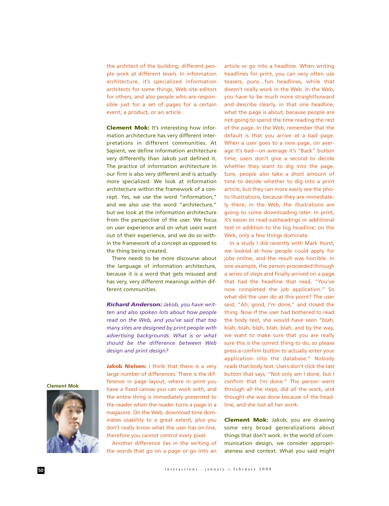the architect of the building; different people work at different levels. In information architecture, it's specialized information architects for some things, Web site editors for others, and also people who are responsible just for a set of pages for a certain event, a product, or an article.

**Clement Mok:** It's interesting how information architecture has very different interpretations in different communities. At Sapient, we define information architecture very differently than Jakob just defined it. The practice of information architecture in our firm is also very different and is actually more specialized. We look at information architecture within the framework of a concept. Yes, we use the word "information," and we also use the word "architecture," but we look at the information architecture from the perspective of the user. We focus on user experience and on what users want out of their experience, and we do so within the framework of a concept as opposed to the thing being created.

There needs to be more discourse about the language of information architecture, because it is a word that gets misused and has very, very different meanings within different communities.

*Richard Anderson: Jakob, you have written and also spoken lots about how people read on the Web, and you've said that too many sites are designed by print people with advertising backgrounds. What is or what should be the difference between Web design and print design?*

**Jakob Nielsen:** I think that there is a very large number of differences. There is the difference in page layout, where in print you have a fixed canvas you can work with, and the entire thing is immediately presented to the reader when the reader turns a page in a magazine. On the Web, download time dominates usability to a great extent, plus you don't really know what the user has on-line, therefore you cannot control every pixel.

Another difference lies in the writing of the words that go on a page or go into an article or go into a headline. When writing headlines for print, you can very often use teasers, puns…fun headlines, while that doesn't really work in the Web. In the Web, you have to be much more straightforward and describe clearly, in that one headline, what the page is about, because people are not going to spend the time reading the rest of the page. In the Web, remember that the default is that you arrive at a bad page. When a user goes to a new page, on average it's bad—on average it's "Back" button time; users don't give a second to decide whether they want to dig into the page. Sure, people also take a short amount of time to decide whether to dig into a print article, but they can more easily see the photo illustrations, because they are immediately there; in the Web, the illustrations are going to come downloading later. In print, it's easier to read subheadings or additional text in addition to the big headline; on the Web, only a few things dominate.

In a study I did recently with Mark Hurst, we looked at how people could apply for jobs online, and the result was horrible. In one example, the person proceeded through a series of steps and finally arrived on a page that had the headline that read, "You've now completed the job application." So what did the user do at this point? The user said, "Ah, good, I'm done," and closed the thing. Now if the user had bothered to read the body text, she would have seen "blah, blah, blah, blah, blah, blah, and by the way, we want to make sure that you are really sure this is the correct thing to do, so please press a confirm button to actually enter your application into the database." Nobody reads that body text. Users don't click the last button that says, "Not only am I done, but I confirm that I'm done." The person went through all the steps, did all the work, and thought she was done because of the headline, and she lost all her work.

**Clement Mok:** Jakob, you are drawing some very broad generalizations about things that don't work. In the world of communication design, we consider appropriateness and context. What you said might

**Clement Mok**

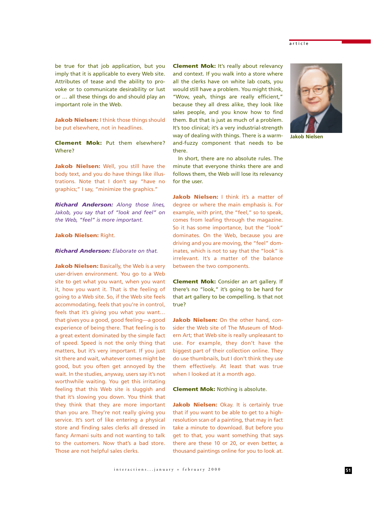be true for that job application, but you imply that it is applicable to every Web site. Attributes of tease and the ability to provoke or to communicate desirability or lust or … all these things do and should play an important role in the Web.

**Jakob Nielsen:** I think those things should be put elsewhere, not in headlines.

**Clement Mok:** Put them elsewhere? Where?

**Jakob Nielsen:** Well, you still have the body text, and you do have things like illustrations. Note that I don't say "have no graphics;" I say, "minimize the graphics."

*Richard Anderson: Along those lines, Jakob, you say that of "look and feel" on the Web, "feel" is more important.*

## **Jakob Nielsen:** Right.

#### *Richard Anderson: Elaborate on that.*

**Jakob Nielsen:** Basically, the Web is a very user-driven environment. You go to a Web site to get what you want, when you want it, how you want it. That is the feeling of going to a Web site. So, if the Web site feels accommodating, feels that you're in control, feels that it's giving you what you want… that gives you a good, good feeling—a good experience of being there. That feeling is to a great extent dominated by the simple fact of speed. Speed is not the only thing that matters, but it's very important. If you just sit there and wait, whatever comes might be good, but you often get annoyed by the wait. In the studies, anyway, users say it's not worthwhile waiting. You get this irritating feeling that this Web site is sluggish and that it's slowing you down. You think that they think that they are more important than you are. They're not really giving you service. It's sort of like entering a physical store and finding sales clerks all dressed in fancy Armani suits and not wanting to talk to the customers. Now that's a bad store. Those are not helpful sales clerks.

**Clement Mok:** It's really about relevancy and context. If you walk into a store where all the clerks have on white lab coats, you would still have a problem. You might think, "Wow, yeah, things are really efficient," because they all dress alike, they look like sales people, and you know how to find them. But that is just as much of a problem. It's too clinical; it's a very industrial-strength way of dealing with things. There is a warmand-fuzzy component that needs to be there.

In short, there are no absolute rules. The minute that everyone thinks there are and follows them, the Web will lose its relevancy for the user.

Jakob Nielsen: I think it's a matter of degree or where the main emphasis is. For example, with print, the "feel," so to speak, comes from leafing through the magazine. So it has some importance, but the "look" dominates. On the Web, because you are driving and you are moving, the "feel" dominates, which is not to say that the "look" is irrelevant. It's a matter of the balance between the two components.

**Clement Mok:** Consider an art gallery. If there's no "look," it's going to be hard for that art gallery to be compelling. Is that not true?

**Jakob Nielsen:** On the other hand, consider the Web site of The Museum of Modern Art; that Web site is really unpleasant to use. For example, they don't have the biggest part of their collection online. They do use thumbnails, but I don't think they use them effectively. At least that was true when I looked at it a month ago.

#### **Clement Mok:** Nothing is absolute.

**Jakob Nielsen:** Okay. It is certainly true that if you want to be able to get to a highresolution scan of a painting, that may in fact take a minute to download. But before you get to that, you want something that says there are these 10 or 20, or even better, a thousand paintings online for you to look at.





**Jakob Nielsen**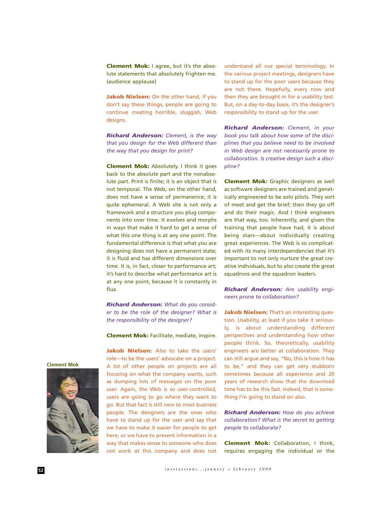**Clement Mok:** I agree, but it's the absolute statements that absolutely frighten me. (audience applause)

**Jakob Nielsen:** On the other hand, if you don't say these things, people are going to continue creating horrible, sluggish, Web designs.

*Richard Anderson: Clement, is the way that you design for the Web different than the way that you design for print?*

**Clement Mok:** Absolutely. I think it goes back to the absolute part and the nonabsolute part. Print is finite; it is an object that is not temporal. The Web, on the other hand, does not have a sense of permanence; it is quite ephemeral. A Web site is not only a framework and a structure you plug components into over time. It evolves and morphs in ways that make it hard to get a sense of what this one thing is at any one point. The fundamental difference is that what you are designing does not have a permanent state; it is fluid and has different dimensions over time. It is, in fact, closer to performance art; it's hard to describe what performance art is at any one point, because it is constantly in flux.

*Richard Anderson: What do you consider to be the role of the designer? What is the responsibility of the designer?*

**Clement Mok:** Facilitate, mediate, inspire.

**Jakob Nielsen:** Also to take the users' role—to be the users' advocate on a project. A lot of other people on projects are all focusing on what the company wants, such as dumping lots of messages on the poor user. Again, the Web is so user-controlled, users are going to go where they want to go. But that fact is still new to most business people. The designers are the ones who have to stand up for the user and say that we have to make it easier for people to get here, or we have to present information in a way that makes sense to someone who does not work at this company and does not understand all our special terminology. In the various project meetings, designers have to stand up for the poor users because they are not there. Hopefully, every now and then they are brought in for a usability test. But, on a day-to-day basis, it's the designer's responsibility to stand up for the user.

*Richard Anderson: Clement, in your book you talk about how some of the disciplines that you believe need to be involved in Web design are not necessarily prone to collaboration. Is creative design such a discipline?*

**Clement Mok:** Graphic designers as well as software designers are trained and genetically engineered to be solo pilots. They sort of meet and get the brief; then they go off and do their magic. And I think engineers are that way, too. Inherently, and given the training that people have had, it is about being stars—about individually creating great experiences. The Web is so complicated with its many interdependencies that it's important to not only nurture the great creative individuals, but to also create the great squadrons and the squadron leaders.

*Richard Anderson: Are usability engineers prone to collaboration?*

**Jakob Nielsen:** That's an interesting question. Usability, at least if you take it seriously, is about understanding different perspectives and understanding how other people think. So, theoretically, usability engineers are better at collaboration. They can still argue and say, "No, this is how it has to be," and they can get very stubborn sometimes because all experience and 20 years of research show that the download time has to be this fast. Indeed, that is something I'm going to stand on also.

*Richard Anderson: How do you achieve collaboration? What is the secret to getting people to collaborate?*

**Clement Mok:** Collaboration, I think, requires engaging the individual or the

**Clement Mok**

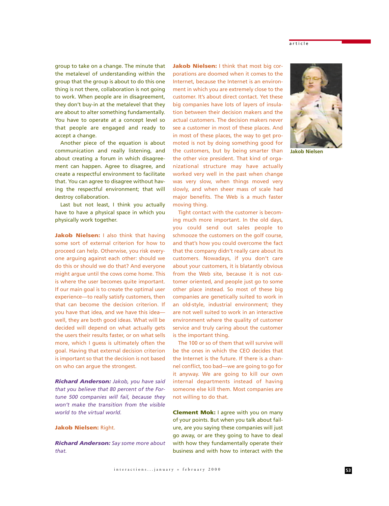group to take on a change. The minute that the metalevel of understanding within the group that the group is about to do this one thing is not there, collaboration is not going to work. When people are in disagreement, they don't buy-in at the metalevel that they are about to alter something fundamentally. You have to operate at a concept level so that people are engaged and ready to accept a change.

Another piece of the equation is about communication and really listening, and about creating a forum in which disagreement can happen. Agree to disagree, and create a respectful environment to facilitate that. You can agree to disagree without having the respectful environment; that will destroy collaboration.

Last but not least, I think you actually have to have a physical space in which you physically work together.

**Jakob Nielsen:** I also think that having some sort of external criterion for how to proceed can help. Otherwise, you risk everyone arguing against each other: should we do this or should we do that? And everyone might argue until the cows come home. This is where the user becomes quite important. If our main goal is to create the optimal user experience—to really satisfy customers, then that can become the decision criterion. If you have that idea, and we have this idea well, they are both good ideas. What will be decided will depend on what actually gets the users their results faster, or on what sells more, which I guess is ultimately often the goal. Having that external decision criterion is important so that the decision is not based on who can argue the strongest.

*Richard Anderson: Jakob, you have said that you believe that 80 percent of the Fortune 500 companies will fail, because they won't make the transition from the visible world to the virtual world.* 

## **Jakob Nielsen:** Right.

*Richard Anderson: Say some more about that.*

**Jakob Nielsen:** I think that most big corporations are doomed when it comes to the Internet, because the Internet is an environment in which you are extremely close to the customer. It's about direct contact. Yet these big companies have lots of layers of insulation between their decision makers and the actual customers. The decision makers never see a customer in most of these places. And in most of these places, the way to get promoted is not by doing something good for the customers, but by being smarter than the other vice president. That kind of organizational structure may have actually worked very well in the past when change was very slow, when things moved very slowly, and when sheer mass of scale had major benefits. The Web is a much faster moving thing.

Tight contact with the customer is becoming much more important. In the old days, you could send out sales people to schmooze the customers on the golf course, and that's how you could overcome the fact that the company didn't really care about its customers. Nowadays, if you don't care about your customers, it is blatantly obvious from the Web site, because it is not customer oriented, and people just go to some other place instead. So most of these big companies are genetically suited to work in an old-style, industrial environment; they are not well suited to work in an interactive environment where the quality of customer service and truly caring about the customer is the important thing.

The 100 or so of them that will survive will be the ones in which the CEO decides that the Internet is the future. If there is a channel conflict, too bad—we are going to go for it anyway. We are going to kill our own internal departments instead of having someone else kill them. Most companies are not willing to do that.

**Clement Mok:** I agree with you on many of your points. But when you talk about failure, are you saying these companies will just go away, or are they going to have to deal with how they fundamentally operate their business and with how to interact with the



**Jakob Nielsen**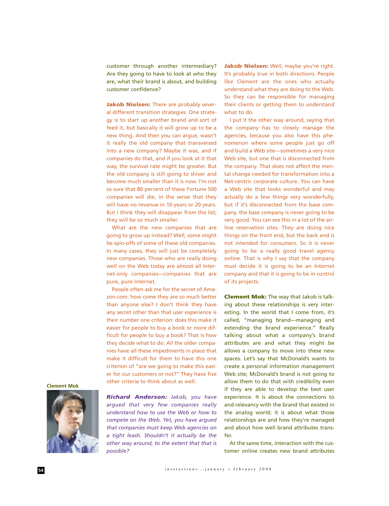customer through another intermediary? Are they going to have to look at who they are, what their brand is about, and building customer confidence?

**Jakob Nielsen:** There are probably several different transition strategies. One strategy is to start up another brand and sort of feed it, but basically it will grow up to be a new thing. And then you can argue, wasn't it really the old company that transversed into a new company? Maybe it was, and if companies do that, and if you look at it that way, the survival rate might be greater. But the old company is still going to shiver and become much smaller than it is now. I'm not so sure that 80 percent of these Fortune 500 companies will die, in the sense that they will have no revenue in 10 years or 20 years. But I think they will disappear from the list; they will be so much smaller.

What are the new companies that are going to grow up instead? Well, some might be spin-offs of some of these old companies. In many cases, they will just be completely new companies. Those who are really doing well on the Web today are almost all Internet-only companies—companies that are pure, pure Internet.

People often ask me for the secret of Amazon.com: how come they are so much better than anyone else? I don't think they have any secret other than that user experience is their number one criterion: does this make it easier for people to buy a book or more difficult for people to buy a book? That is how they decide what to do. All the older companies have all these impediments in place that make it difficult for them to have this one criterion of "are we going to make this easier for our customers or not?" They have five other criteria to think about as well.

**Jakob Nielsen:** Well, maybe you're right. It's probably true in both directions. People like Clement are the ones who actually understand what they are doing to the Web. So they can be responsible for managing their clients or getting them to understand what to do.

I put it the other way around, saying that the company has to closely manage the agencies, because you also have this phenomenon where some people just go off and build a Web site—sometimes a very nice Web site, but one that is disconnected from the company. That does not affect the mental change needed for transformation into a Net-centric corporate culture. You can have a Web site that looks wonderful and may actually do a few things very wonderfully, but if it's disconnected from the base company, the base company is never going to be very good. You can see this in a lot of the airline reservation sites. They are doing nice things on the front end, but the back end is not intended for consumers. So it is never going to be a really good travel agency online. That is why I say that the company must decide it is going to be an Internet company and that it is going to be in control of its projects.

**Clement Mok:** The way that Jakob is talking about these relationships is very interesting. In the world that I come from, it's called, "managing brand—managing and extending the brand experience." Really talking about what a company's brand attributes are and what they might be allows a company to move into these new spaces. Let's say that McDonald's wants to create a personal information management Web site; McDonald's brand is not going to allow them to do that with credibility even if they are able to develop the best user experience. It is about the connections to and relevancy with the brand that existed in the analog world; it is about what those relationships are and how they're managed and about how well brand attributes transfer.

At the same time, interaction with the customer online creates new brand attributes

**Clement Mok**



*Richard Anderson: Jakob, you have argued that very few companies really understand how to use the Web or how to compete on the Web. Yet, you have argued that companies must keep Web agencies on a tight leash. Shouldn't it actually be the other way around, to the extent that that is possible?*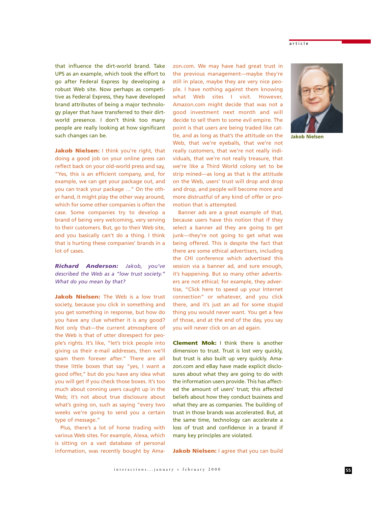article

that influence the dirt-world brand. Take UPS as an example, which took the effort to go after Federal Express by developing a robust Web site. Now perhaps as competitive as Federal Express, they have developed brand attributes of being a major technology player that have transferred to their dirtworld presence. I don't think too many people are really looking at how significant such changes can be.

**Jakob Nielsen:** I think you're right, that doing a good job on your online press can reflect back on your old-world press and say, "Yes, this is an efficient company, and, for example, we can get your package out, and you can track your package …" On the other hand, it might play the other way around, which for some other companies is often the case. Some companies try to develop a brand of being very welcoming, very serving to their customers. But, go to their Web site, and you basically can't do a thing. I think that is hurting these companies' brands in a lot of cases.

*Richard Anderson: Jakob, you've described the Web as a "low trust society." What do you mean by that?*

**Jakob Nielsen:** The Web is a low trust society, because you click in something and you get something in response, but how do you have any clue whether it is any good? Not only that—the current atmosphere of the Web is that of utter disrespect for people's rights. It's like, "let's trick people into giving us their e-mail addresses, then we'll spam them forever after." There are all these little boxes that say "yes, I want a good offer," but do you have any idea what you will get if you check those boxes. It's too much about conning users caught up in the Web; it's not about true disclosure about what's going on, such as saying "every two weeks we're going to send you a certain type of message."

Plus, there's a lot of horse trading with various Web sites. For example, Alexa, which is sitting on a vast database of personal information, was recently bought by Amazon.com. We may have had great trust in the previous management—maybe they're still in place, maybe they are very nice people. I have nothing against them knowing what Web sites I visit. However, Amazon.com might decide that was not a good investment next month and will decide to sell them to some evil empire. The point is that users are being traded like cattle, and as long as that's the attitude on the Web, that we're eyeballs, that we're not really customers, that we're not really individuals, that we're not really treasure, that we're like a Third World colony set to be strip mined—as long as that is the attitude on the Web, users' trust will drop and drop and drop, and people will become more and more distrustful of any kind of offer or promotion that is attempted.

Banner ads are a great example of that, because users have this notion that if they select a banner ad they are going to get junk—they're not going to get what was being offered. This is despite the fact that there are some ethical advertisers, including the CHI conference which advertised this session via a banner ad, and sure enough, it's happening. But so many other advertisers are not ethical; for example, they advertise, "Click here to speed up your Internet connection" or whatever, and you click there, and it's just an ad for some stupid thing you would never want. You get a few of those, and at the end of the day, you say you will never click on an ad again.

**Clement Mok:** I think there is another dimension to trust. Trust is lost very quickly, but trust is also built up very quickly. Amazon.com and eBay have made explicit disclosures about what they are going to do with the information users provide. This has affected the amount of users' trust; this affected beliefs about how they conduct business and what they are as companies. The building of trust in those brands was accelerated. But, at the same time, technology can accelerate a loss of trust and confidence in a brand if many key principles are violated.

**Jakob Nielsen:** I agree that you can build



**Jakob Nielsen**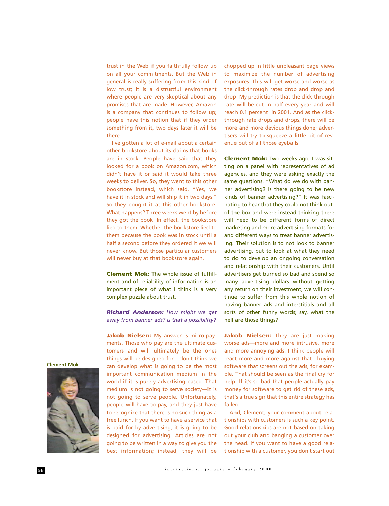trust in the Web if you faithfully follow up on all your commitments. But the Web in general is really suffering from this kind of low trust; it is a distrustful environment where people are very skeptical about any promises that are made. However, Amazon is a company that continues to follow up; people have this notion that if they order something from it, two days later it will be there.

I've gotten a lot of e-mail about a certain other bookstore about its claims that books are in stock. People have said that they looked for a book on Amazon.com, which didn't have it or said it would take three weeks to deliver. So, they went to this other bookstore instead, which said, "Yes, we have it in stock and will ship it in two days." So they bought it at this other bookstore. What happens? Three weeks went by before they got the book. In effect, the bookstore lied to them. Whether the bookstore lied to them because the book was in stock until a half a second before they ordered it we will never know. But those particular customers will never buy at that bookstore again.

**Clement Mok:** The whole issue of fulfillment and of reliability of information is an important piece of what I think is a very complex puzzle about trust.

*Richard Anderson: How might we get away from banner ads? Is that a possibility?* 

**Jakob Nielsen:** My answer is micro-payments. Those who pay are the ultimate customers and will ultimately be the ones things will be designed for. I don't think we can develop what is going to be the most important communication medium in the world if it is purely advertising based. That medium is not going to serve society—it is not going to serve people. Unfortunately, people will have to pay, and they just have to recognize that there is no such thing as a free lunch. If you want to have a service that is paid for by advertising, it is going to be designed for advertising. Articles are not going to be written in a way to give you the best information; instead, they will be

chopped up in little unpleasant page views to maximize the number of advertising exposures. This will get worse and worse as the click-through rates drop and drop and drop. My prediction is that the click-through rate will be cut in half every year and will reach 0.1 percent in 2001. And as the clickthrough rate drops and drops, there will be more and more devious things done; advertisers will try to squeeze a little bit of revenue out of all those eyeballs.

**Clement Mok:** Two weeks ago, I was sitting on a panel with representatives of ad agencies, and they were asking exactly the same questions. "What do we do with banner advertising? Is there going to be new kinds of banner advertising?" It was fascinating to hear that they could not think outof-the-box and were instead thinking there will need to be different forms of direct marketing and more advertising formats for and different ways to treat banner advertising. Their solution is to not look to banner advertising, but to look at what they need to do to develop an ongoing conversation and relationship with their customers. Until advertisers get burned so bad and spend so many advertising dollars without getting any return on their investment, we will continue to suffer from this whole notion of having banner ads and interstitials and all sorts of other funny words; say, what the hell are those things?

**Jakob Nielsen:** They are just making worse ads—more and more intrusive, more and more annoying ads. I think people will react more and more against that—buying software that screens out the ads, for example. That should be seen as the final cry for help. If it's so bad that people actually pay money for software to get rid of these ads, that's a true sign that this entire strategy has failed.

And, Clement, your comment about relationships with customers is such a key point. Good relationships are not based on taking out your club and banging a customer over the head. If you want to have a good relationship with a customer, you don't start out

**Clement Mok**

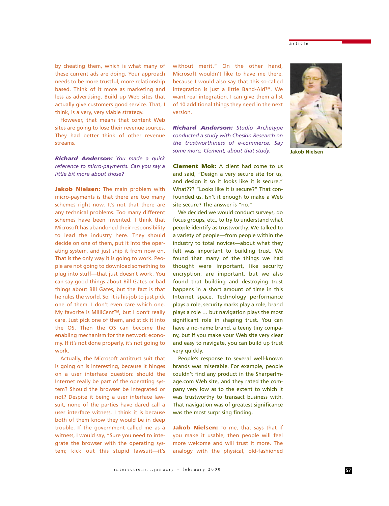by cheating them, which is what many of these current ads are doing. Your approach needs to be more trustful, more relationship based. Think of it more as marketing and less as advertising. Build up Web sites that actually give customers good service. That, I think, is a very, very viable strategy.

However, that means that content Web sites are going to lose their revenue sources. They had better think of other revenue streams.

*Richard Anderson: You made a quick reference to micro-payments. Can you say a little bit more about those?*

**Jakob Nielsen:** The main problem with micro-payments is that there are too many schemes right now. It's not that there are any technical problems. Too many different schemes have been invented. I think that Microsoft has abandoned their responsibility to lead the industry here. They should decide on one of them, put it into the operating system, and just ship it from now on. That is the only way it is going to work. People are not going to download something to plug into stuff—that just doesn't work. You can say good things about Bill Gates or bad things about Bill Gates, but the fact is that he rules the world. So, it is his job to just pick one of them. I don't even care which one. My favorite is MilliCent™, but I don't really care. Just pick one of them, and stick it into the OS. Then the OS can become the enabling mechanism for the network economy. If it's not done properly, it's not going to work.

Actually, the Microsoft antitrust suit that is going on is interesting, because it hinges on a user interface question: should the Internet really be part of the operating system? Should the browser be integrated or not? Despite it being a user interface lawsuit, none of the parties have dared call a user interface witness. I think it is because both of them know they would be in deep trouble. If the government called me as a witness, I would say, "Sure you need to integrate the browser with the operating system; kick out this stupid lawsuit—it's without merit." On the other hand, Microsoft wouldn't like to have me there, because I would also say that this so-called integration is just a little Band-Aid™. We want real integration. I can give them a list of 10 additional things they need in the next version.

*Richard Anderson: Studio Archetype conducted a study with Cheskin Research on the trustworthiness of e-commerce. Say some more, Clement, about that study.*

**Clement Mok:** A client had come to us and said, "Design a very secure site for us, and design it so it looks like it is secure." What??? "Looks like it is secure?" That confounded us. Isn't it enough to make a Web site secure? The answer is "no."

We decided we would conduct surveys, do focus groups, etc., to try to understand what people identify as trustworthy. We talked to a variety of people—from people within the industry to total novices—about what they felt was important to building trust. We found that many of the things we had thought were important, like security encryption, are important, but we also found that building and destroying trust happens in a short amount of time in this Internet space. Technology performance plays a role, security marks play a role, brand plays a role … but navigation plays the most significant role in shaping trust. You can have a no-name brand, a teeny tiny company, but if you make your Web site very clear and easy to navigate, you can build up trust very quickly.

People's response to several well-known brands was miserable. For example, people couldn't find any product in the SharperImage.com Web site, and they rated the company very low as to the extent to which it was trustworthy to transact business with. That navigation was of greatest significance was the most surprising finding.

**Jakob Nielsen:** To me, that says that if you make it usable, then people will feel more welcome and will trust it more. The analogy with the physical, old-fashioned



**Jakob Nielsen**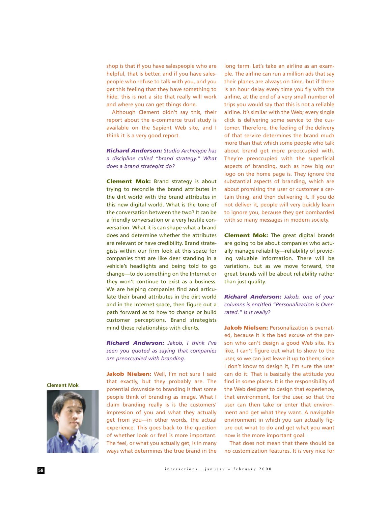shop is that if you have salespeople who are helpful, that is better, and if you have salespeople who refuse to talk with you, and you get this feeling that they have something to hide, this is not a site that really will work and where you can get things done.

Although Clement didn't say this, their report about the e-commerce trust study is available on the Sapient Web site, and I think it is a very good report.

*Richard Anderson: Studio Archetype has a discipline called "brand strategy." What does a brand strategist do?*

**Clement Mok:** Brand strategy is about trying to reconcile the brand attributes in the dirt world with the brand attributes in this new digital world. What is the tone of the conversation between the two? It can be a friendly conversation or a very hostile conversation. What it is can shape what a brand does and determine whether the attributes are relevant or have credibility. Brand strategists within our firm look at this space for companies that are like deer standing in a vehicle's headlights and being told to go change—to do something on the Internet or they won't continue to exist as a business. We are helping companies find and articulate their brand attributes in the dirt world and in the Internet space, then figure out a path forward as to how to change or build customer perceptions. Brand strategists mind those relationships with clients.

*Richard Anderson: Jakob, I think I've seen you quoted as saying that companies are preoccupied with branding.* 

Jakob Nielsen: Well, I'm not sure I said that exactly, but they probably are. The potential downside to branding is that some people think of branding as image. What I claim branding really is is the customers' impression of you and what they actually get from you—in other words, the actual experience. This goes back to the question of whether look or feel is more important. The feel, or what you actually get, is in many ways what determines the true brand in the long term. Let's take an airline as an example. The airline can run a million ads that say their planes are always on time, but if there is an hour delay every time you fly with the airline, at the end of a very small number of trips you would say that this is not a reliable airline. It's similar with the Web; every single click is delivering some service to the customer. Therefore, the feeling of the delivery of that service determines the brand much more than that which some people who talk about brand get more preoccupied with. They're preoccupied with the superficial aspects of branding, such as how big our logo on the home page is. They ignore the substantial aspects of branding, which are about promising the user or customer a certain thing, and then delivering it. If you do not deliver it, people will very quickly learn to ignore you, because they get bombarded with so many messages in modern society.

**Clement Mok:** The great digital brands are going to be about companies who actually manage reliability—reliability of providing valuable information. There will be variations, but as we move forward, the great brands will be about reliability rather than just quality.

*Richard Anderson: Jakob, one of your columns is entitled "Personalization is Overrated." Is it really?*

**Jakob Nielsen: Personalization is overrat**ed, because it is the bad excuse of the person who can't design a good Web site. It's like, I can't figure out what to show to the user, so we can just leave it up to them; since I don't know to design it, I'm sure the user can do it. That is basically the attitude you find in some places. It is the responsibility of the Web designer to design that experience, that environment, for the user, so that the user can then take or enter that environment and get what they want. A navigable environment in which you can actually figure out what to do and get what you want now is the more important goal.

That does not mean that there should be no customization features. It is very nice for

**Clement Mok**

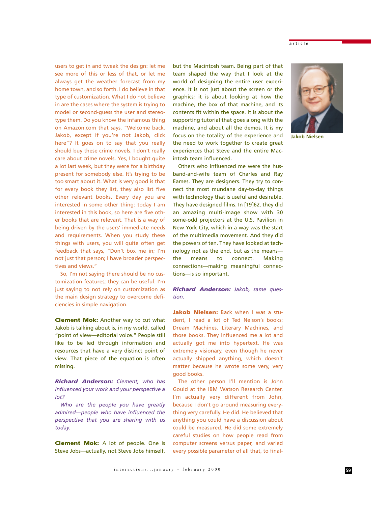users to get in and tweak the design: let me see more of this or less of that, or let me always get the weather forecast from my home town, and so forth. I do believe in that type of customization. What I do not believe in are the cases where the system is trying to model or second-guess the user and stereotype them. Do you know the infamous thing on Amazon.com that says, "Welcome back, Jakob, except if you're not Jakob, click here"? It goes on to say that you really should buy these crime novels. I don't really care about crime novels. Yes, I bought quite a lot last week, but they were for a birthday present for somebody else. It's trying to be too smart about it. What is very good is that for every book they list, they also list five other relevant books. Every day you are interested in some other thing: today I am interested in this book, so here are five other books that are relevant. That is a way of being driven by the users' immediate needs and requirements. When you study these things with users, you will quite often get feedback that says, "Don't box me in; I'm not just that person; I have broader perspectives and views."

So, I'm not saying there should be no customization features; they can be useful. I'm just saying to not rely on customization as the main design strategy to overcome deficiencies in simple navigation.

**Clement Mok:** Another way to cut what Jakob is talking about is, in my world, called "point of view—editorial voice." People still like to be led through information and resources that have a very distinct point of view. That piece of the equation is often missing.

*Richard Anderson: Clement, who has influenced your work and your perspective a lot?*

*Who are the people you have greatly admired—people who have influenced the perspective that you are sharing with us today.*

**Clement Mok:** A lot of people. One is Steve Jobs—actually, not Steve Jobs himself,

but the Macintosh team. Being part of that team shaped the way that I look at the world of designing the entire user experience. It is not just about the screen or the graphics; it is about looking at how the machine, the box of that machine, and its contents fit within the space. It is about the supporting tutorial that goes along with the machine, and about all the demos. It is my focus on the totality of the experience and the need to work together to create great experiences that Steve and the entire Macintosh team influenced.

Others who influenced me were the husband-and-wife team of Charles and Ray Eames. They are designers. They try to connect the most mundane day-to-day things with technology that is useful and desirable. They have designed films. In [19]62, they did an amazing multi-image show with 30 some-odd projectors at the U.S. Pavilion in New York City, which in a way was the start of the multimedia movement. And they did the powers of ten. They have looked at technology not as the end, but as the means the means to connect. Making connections—making meaningful connections—is so important.

## *Richard Anderson: Jakob, same question.*

**Jakob Nielsen:** Back when I was a student, I read a lot of Ted Nelson's books: Dream Machines, Literary Machines, and those books. They influenced me a lot and actually got me into hypertext. He was extremely visionary, even though he never actually shipped anything, which doesn't matter because he wrote some very, very good books.

The other person I'll mention is John Gould at the IBM Watson Research Center. I'm actually very different from John, because I don't go around measuring everything very carefully. He did. He believed that anything you could have a discussion about could be measured. He did some extremely careful studies on how people read from computer screens versus paper, and varied every possible parameter of all that, to final-



**Jakob Nielsen**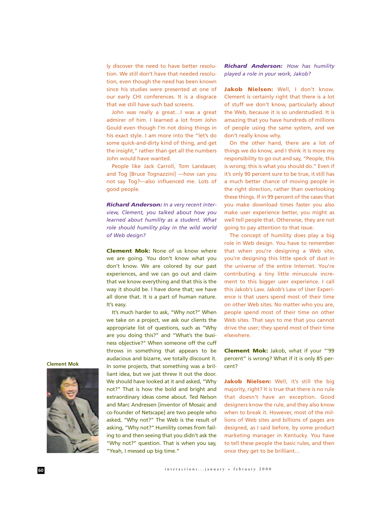ly discover the need to have better resolution. We still don't have that needed resolution, even though the need has been known since his studies were presented at one of our early CHI conferences. It is a disgrace that we still have such bad screens.

John was really a great…I was a great admirer of him. I learned a lot from John Gould even though I'm not doing things in his exact style. I am more into the "let's do some quick-and-dirty kind of thing, and get the insight," rather than get all the numbers John would have wanted.

People like Jack Carroll, Tom Landauer, and Tog [Bruce Tognazzini] —how can you not say Tog?—also influenced me. Lots of good people.

*Richard Anderson: In a very recent interview, Clement, you talked about how you learned about humility as a student. What role should humility play in the wild world of Web design?*

**Clement Mok:** None of us know where we are going. You don't know what you don't know. We are colored by our past experiences, and we can go out and claim that we know everything and that this is the way it should be. I have done that; we have all done that. It is a part of human nature. It's easy.

It's much harder to ask, "Why not?" When we take on a project, we ask our clients the appropriate list of questions, such as "Why are you doing this?" and "What's the business objective?" When someone off the cuff throws in something that appears to be audacious and bizarre, we totally discount it. In some projects, that something was a brilliant idea, but we just threw it out the door. We should have looked at it and asked, "Why not?" That is how the bold and bright and extraordinary ideas come about. Ted Nelson and Marc Andressen [inventor of Mosaic and co-founder of Netscape] are two people who asked, "Why not?" The Web is the result of asking, "Why not?" Humility comes from failing to and then seeing that you didn't ask the "Why not?" question. That is when you say, "Yeah, I messed up big time."

*Richard Anderson: How has humility played a role in your work, Jakob?*

Jakob Nielsen: Well, I don't know. Clement is certainly right that there is a lot of stuff we don't know, particularly about the Web, because it is so understudied. It is amazing that you have hundreds of millions of people using the same system, and we don't really know why.

On the other hand, there are a lot of things we do know, and I think it is more my responsibility to go out and say, "People, this is wrong; this is what you should do." Even if it's only 90 percent sure to be true, it still has a much better chance of moving people in the right direction, rather than overlooking these things. If in 99 percent of the cases that you make download times faster you also make user experience better, you might as well tell people that. Otherwise, they are not going to pay attention to that issue.

The concept of humility does play a big role in Web design. You have to remember that when you're designing a Web site, you're designing this little speck of dust in the universe of the entire Internet. You're contributing a tiny little minuscule increment to this bigger user experience. I call this Jakob's Law. Jakob's Law of User Experience is that users spend most of their time on other Web sites. No matter who you are, people spend most of their time on other Web sites. That says to me that you cannot drive the user; they spend most of their time elsewhere.

**Clement Mok:** Jakob, what if your "'99 percent" is wrong? What if it is only 85 percent?

Jakob Nielsen: Well, it's still the big majority, right? It is true that there is no rule that doesn't have an exception. Good designers know the rule, and they also know when to break it. However, most of the millions of Web sites and billions of pages are designed, as I said before, by some product marketing manager in Kentucky. You have to tell these people the basic rules, and then once they get to be brilliant…

**Clement Mok**

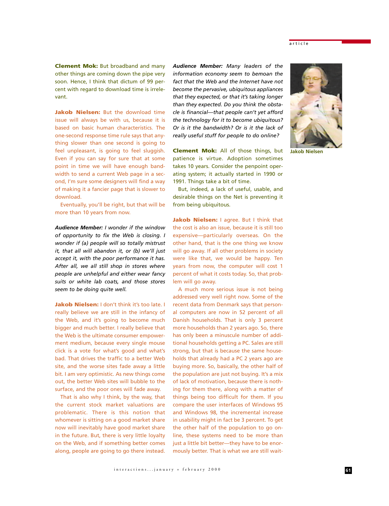article

**Clement Mok:** But broadband and many other things are coming down the pipe very soon. Hence, I think that dictum of 99 percent with regard to download time is irrelevant.

**Jakob Nielsen:** But the download time issue will always be with us, because it is based on basic human characteristics. The one-second response time rule says that anything slower than one second is going to feel unpleasant, is going to feel sluggish. Even if you can say for sure that at some point in time we will have enough bandwidth to send a current Web page in a second, I'm sure some designers will find a way of making it a fancier page that is slower to download.

Eventually, you'll be right, but that will be more than 10 years from now.

*Audience Member: I wonder if the window of opportunity to fix the Web is closing. I wonder if (a) people will so totally mistrust it, that all will abandon it, or (b) we'll just accept it, with the poor performance it has. After all, we all still shop in stores where people are unhelpful and either wear fancy suits or white lab coats, and those stores seem to be doing quite well.*

**Jakob Nielsen:** I don't think it's too late. I really believe we are still in the infancy of the Web, and it's going to become much bigger and much better. I really believe that the Web is the ultimate consumer empowerment medium, because every single mouse click is a vote for what's good and what's bad. That drives the traffic to a better Web site, and the worse sites fade away a little bit. I am very optimistic. As new things come out, the better Web sites will bubble to the surface, and the poor ones will fade away.

That is also why I think, by the way, that the current stock market valuations are problematic. There is this notion that whomever is sitting on a good market share now will inevitably have good market share in the future. But, there is very little loyalty on the Web, and if something better comes along, people are going to go there instead.

*Audience Member: Many leaders of the information economy seem to bemoan the fact that the Web and the Internet have not become the pervasive, ubiquitous appliances that they expected, or that it's taking longer than they expected. Do you think the obstacle is financial—that people can't yet afford the technology for it to become ubiquitous? Or is it the bandwidth? Or is it the lack of really useful stuff for people to do online?*

**Clement Mok:** All of those things, but patience is virtue. Adoption sometimes takes 10 years. Consider the penpoint operating system; it actually started in 1990 or 1991. Things take a bit of time.

But, indeed, a lack of useful, usable, and desirable things on the Net is preventing it from being ubiquitous.

**Jakob Nielsen:** I agree. But I think that the cost is also an issue, because it is still too expensive—particularly overseas. On the other hand, that is the one thing we know will go away. If all other problems in society were like that, we would be happy. Ten years from now, the computer will cost 1 percent of what it costs today. So, that problem will go away.

A much more serious issue is not being addressed very well right now. Some of the recent data from Denmark says that personal computers are now in 52 percent of all Danish households. That is only 3 percent more households than 2 years ago. So, there has only been a minuscule number of additional households getting a PC. Sales are still strong, but that is because the same households that already had a PC 2 years ago are buying more. So, basically, the other half of the population are just not buying. It's a mix of lack of motivation, because there is nothing for them there, along with a matter of things being too difficult for them. If you compare the user interfaces of Windows 95 and Windows 98, the incremental increase in usability might in fact be 3 percent. To get the other half of the population to go online, these systems need to be more than just a little bit better—they have to be enormously better. That is what we are still wait-



**Jakob Nielsen**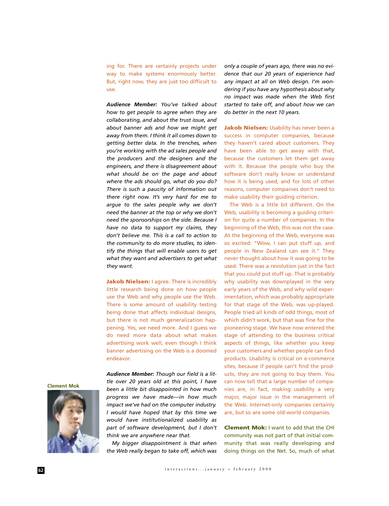ing for. There are certainly projects under way to make systems enormously better. But, right now, they are just too difficult to use.

*Audience Member: You've talked about how to get people to agree when they are collaborating, and about the trust issue, and about banner ads and how we might get away from them. I think it all comes down to getting better data. In the trenches, when you're working with the ad sales people and the producers and the designers and the engineers, and there is disagreement about what should be on the page and about where the ads should go, what do you do? There is such a paucity of information out there right now. It's very hard for me to argue to the sales people why we don't need the banner at the top or why we don't need the sponsorships on the side. Because I have no data to support my claims, they don't believe me. This is a call to action to the community to do more studies, to identify the things that will enable users to get what they want and advertisers to get what they want.*

**Jakob Nielsen:** I agree. There is incredibly little research being done on how people use the Web and why people use the Web. There is some amount of usability testing being done that affects individual designs, but there is not much generalization happening. Yes, we need more. And I guess we do need more data about what makes advertising work well, even though I think banner advertising on the Web is a doomed endeavor.

*Audience Member: Though our field is a little over 20 years old at this point, I have been a little bit disappointed in how much progress we have made—in how much impact we've had on the computer industry. I would have hoped that by this time we would have institutionalized usability as part of software development, but I don't think we are anywhere near that.* 

*My bigger disappointment is that when the Web really began to take off, which was* *only a couple of years ago, there was no evidence that our 20 years of experience had any impact at all on Web design. I'm wondering if you have any hypothesis about why no impact was made when the Web first started to take off, and about how we can do better in the next 10 years.*

**Jakob Nielsen:** Usability has never been a success in computer companies, because they haven't cared about customers. They have been able to get away with that, because the customers let them get away with it. Because the people who buy the software don't really know or understand how it is being used, and for lots of other reasons, computer companies don't need to make usability their guiding criterion.

The Web is a little bit different. On the Web, usability is becoming a guiding criterion for quite a number of companies. In the beginning of the Web, this was not the case. At the beginning of the Web, everyone was so excited: "Wow, I can put stuff up, and people in New Zealand can see it." They never thought about how it was going to be used. There was a revolution just in the fact that you could put stuff up. That is probably why usability was downplayed in the very early years of the Web, and why wild experimentation, which was probably appropriate for that stage of the Web, was up-played. People tried all kinds of odd things, most of which didn't work, but that was fine for the pioneering stage. We have now entered the stage of attending to the business critical aspects of things, like whether you keep your customers and whether people can find products. Usability is critical on e-commerce sites, because if people can't find the products, they are not going to buy them. You can now tell that a large number of companies are, in fact, making usability a very major, major issue in the management of the Web. Internet-only companies certainly are, but so are some old-world companies.

**Clement Mok:** I want to add that the CHI community was not part of that initial community that was really developing and doing things on the Net. So, much of what

**Clement Mok**

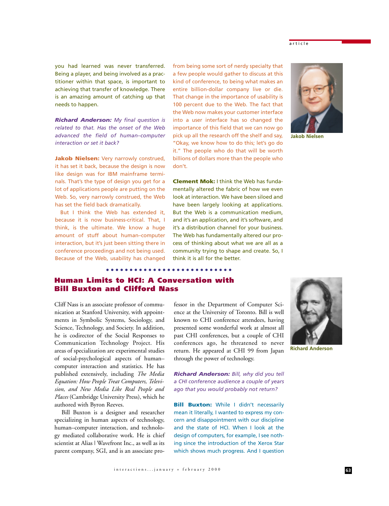## article

you had learned was never transferred. Being a player, and being involved as a practitioner within that space, is important to achieving that transfer of knowledge. There is an amazing amount of catching up that needs to happen.

*Richard Anderson: My final question is related to that. Has the onset of the Web advanced the field of human–computer interaction or set it back?*

**Jakob Nielsen:** Very narrowly construed, it has set it back, because the design is now like design was for IBM mainframe terminals. That's the type of design you get for a lot of applications people are putting on the Web. So, very narrowly construed, the Web has set the field back dramatically.

But I think the Web has extended it, because it is now business-critical. That, I think, is the ultimate. We know a huge amount of stuff about human–computer interaction, but it's just been sitting there in conference proceedings and not being used. Because of the Web, usability has changed

from being some sort of nerdy specialty that a few people would gather to discuss at this kind of conference, to being what makes an entire billion-dollar company live or die. That change in the importance of usability is 100 percent due to the Web. The fact that the Web now makes your customer interface into a user interface has so changed the importance of this field that we can now go pick up all the research off the shelf and say, "Okay, we know how to do this; let's go do it." The people who do that will be worth billions of dollars more than the people who don't.

**Clement Mok:** I think the Web has fundamentally altered the fabric of how we even look at interaction. We have been siloed and have been largely looking at applications. But the Web is a communication medium, and it's an application, and it's software, and it's a distribution channel for your business. The Web has fundamentally altered our process of thinking about what we are all as a community trying to shape and create. So, I think it is all for the better.



**Jakob Nielsen**

**Human Limits to HCI: A Conversation with Bill Buxton and Clifford Nass**

Cliff Nass is an associate professor of communication at Stanford University, with appointments in Symbolic Systems, Sociology, and Science, Technology, and Society. In addition, he is codirector of the Social Responses to Communication Technology Project. His areas of specialization are experimental studies of social-psychological aspects of human– computer interaction and statistics. He has published extensively, including *The Media Equation: How People Treat Computers, Television, and New Media Like Real People and Places* (Cambridge University Press), which he authored with Byron Reeves.

Bill Buxton is a designer and researcher specializing in human aspects of technology, human–computer interaction, and technology mediated collaborative work. He is chief scientist at Alias | Wavefront Inc., as well as its parent company, SGI, and is an associate professor in the Department of Computer Science at the University of Toronto. Bill is well known to CHI conference attendees, having presented some wonderful work at almost all past CHI conferences, but a couple of CHI conferences ago, he threatened to never return. He appeared at CHI 99 from Japan through the power of technology.

*Richard Anderson: Bill, why did you tell a CHI conference audience a couple of years ago that you would probably not return?*

**Bill Buxton:** While I didn't necessarily mean it literally, I wanted to express my concern and disappointment with our discipline and the state of HCI. When I look at the design of computers, for example, I see nothing since the introduction of the Xerox Star which shows much progress. And I question



**Richard Anderson**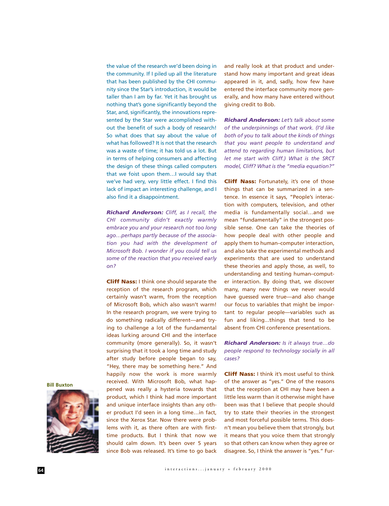the value of the research we'd been doing in the community. If I piled up all the literature that has been published by the CHI community since the Star's introduction, it would be taller than I am by far. Yet it has brought us nothing that's gone significantly beyond the Star, and, significantly, the innovations represented by the Star were accomplished without the benefit of such a body of research! So what does that say about the value of what has followed? It is not that the research was a waste of time; it has told us a lot. But in terms of helping consumers and affecting the design of these things called computers that we foist upon them…I would say that we've had very, very little effect. I find this lack of impact an interesting challenge, and I also find it a disappointment.

*Richard Anderson: Cliff, as I recall, the CHI community didn't exactly warmly embrace you and your research not too long ago…perhaps partly because of the association you had with the development of Microsoft Bob. I wonder if you could tell us some of the reaction that you received early on?*

**Cliff Nass:** I think one should separate the reception of the research program, which certainly wasn't warm, from the reception of Microsoft Bob, which also wasn't warm! In the research program, we were trying to do something radically different—and trying to challenge a lot of the fundamental ideas lurking around CHI and the interface community (more generally). So, it wasn't surprising that it took a long time and study after study before people began to say, "Hey, there may be something here." And happily now the work is more warmly received. With Microsoft Bob, what happened was really a hysteria towards that product, which I think had more important and unique interface insights than any other product I'd seen in a long time…in fact, since the Xerox Star. Now there were problems with it, as there often are with firsttime products. But I think that now we should calm down. It's been over 5 years since Bob was released. It's time to go back

and really look at that product and understand how many important and great ideas appeared in it, and, sadly, how few have entered the interface community more generally, and how many have entered without giving credit to Bob.

*Richard Anderson: Let's talk about some of the underpinnings of that work. (I'd like both of you to talk about the kinds of things that you want people to understand and attend to regarding human limitations, but let me start with Cliff.) What is the SRCT model, Cliff? What is the "media equation?"*

**Cliff Nass:** Fortunately, it's one of those things that can be summarized in a sentence. In essence it says, "People's interaction with computers, television, and other media is fundamentally social…and we mean "fundamentally" in the strongest possible sense. One can take the theories of how people deal with other people and apply them to human–computer interaction, and also take the experimental methods and experiments that are used to understand these theories and apply those, as well, to understanding and testing human–computer interaction. By doing that, we discover many, many new things we never would have guessed were true—and also change our focus to variables that might be important to regular people—variables such as fun and liking...things that tend to be absent from CHI conference presentations.

*Richard Anderson: Is it always true…do people respond to technology socially in all cases?*

**Cliff Nass:** I think it's most useful to think of the answer as "yes." One of the reasons that the reception at CHI may have been a little less warm than it otherwise might have been was that I believe that people should try to state their theories in the strongest and most forceful possible terms. This doesn't mean you believe them that strongly, but it means that you voice them that strongly so that others can know when they agree or disagree. So, I think the answer is "yes." Fur-

**Bill Buxton**

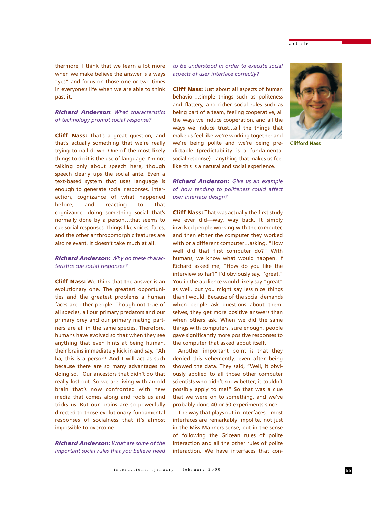thermore, I think that we learn a lot more when we make believe the answer is always "yes" and focus on those one or two times in everyone's life when we are able to think past it.

*Richard Anderson*: *What characteristics of technology prompt social response?*

**Cliff Nass:** That's a great question, and that's actually something that we're really trying to nail down. One of the most likely things to do it is the use of language. I'm not talking only about speech here, though speech clearly ups the social ante. Even a text-based system that uses language is enough to generate social responses. Interaction, cognizance of what happened before, and reacting to that cognizance…doing something social that's normally done by a person…that seems to cue social responses. Things like voices, faces, and the other anthropomorphic features are also relevant. It doesn't take much at all.

*Richard Anderson: Why do these characteristics cue social responses?*

**Cliff Nass:** We think that the answer is an evolutionary one. The greatest opportunities and the greatest problems a human faces are other people. Though not true of all species, all our primary predators and our primary prey and our primary mating partners are all in the same species. Therefore, humans have evolved so that when they see anything that even hints at being human, their brains immediately kick in and say, "Ah ha, this is a person! And I will act as such because there are so many advantages to doing so." Our ancestors that didn't do that really lost out. So we are living with an old brain that's now confronted with new media that comes along and fools us and tricks us. But our brains are so powerfully directed to those evolutionary fundamental responses of socialness that it's almost impossible to overcome.

*Richard Anderson: What are some of the important social rules that you believe need* *to be understood in order to execute social aspects of user interface correctly?*

**Cliff Nass:** Just about all aspects of human behavior…simple things such as politeness and flattery, and richer social rules such as being part of a team, feeling cooperative, all the ways we induce cooperation, and all the ways we induce trust…all the things that make us feel like we're working together and we're being polite and we're being predictable (predictability is a fundamental social response)…anything that makes us feel like this is a natural and social experience.

*Richard Anderson: Give us an example of how tending to politeness could affect user interface design?*

**Cliff Nass:** That was actually the first study we ever did—way, way back. It simply involved people working with the computer, and then either the computer they worked with or a different computer…asking, "How well did that first computer do?" With humans, we know what would happen. If Richard asked me, "How do you like the interview so far?" I'd obviously say, "great." You in the audience would likely say "great" as well, but you might say less nice things than I would. Because of the social demands when people ask questions about themselves, they get more positive answers than when others ask. When we did the same things with computers, sure enough, people gave significantly more positive responses to the computer that asked about itself.

Another important point is that they denied this vehemently, even after being showed the data. They said, "Well, it obviously applied to all those other computer scientists who didn't know better; it couldn't possibly apply to me!" So that was a clue that we were on to something, and we've probably done 40 or 50 experiments since.

The way that plays out in interfaces…most interfaces are remarkably impolite, not just in the Miss Manners sense, but in the sense of following the Gricean rules of polite interaction and all the other rules of polite interaction. We have interfaces that con**Clifford Nass**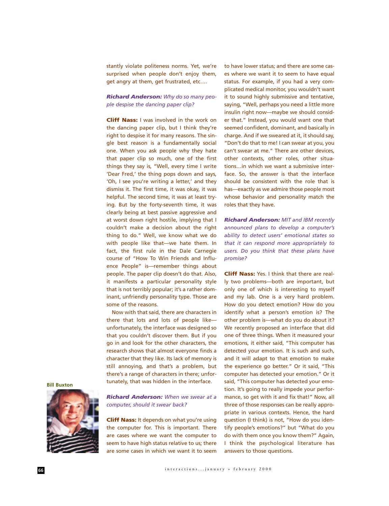stantly violate politeness norms. Yet, we're surprised when people don't enjoy them, get angry at them, get frustrated, etc….

*Richard Anderson: Why do so many people despise the dancing paper clip?*

**Cliff Nass:** I was involved in the work on the dancing paper clip, but I think they're right to despise it for many reasons. The single best reason is a fundamentally social one. When you ask people why they hate that paper clip so much, one of the first things they say is, "Well, every time I write 'Dear Fred,' the thing pops down and says, 'Oh, I see you're writing a letter,' and they dismiss it. The first time, it was okay, it was helpful. The second time, it was at least trying. But by the forty-seventh time, it was clearly being at best passive aggressive and at worst down right hostile, implying that I couldn't make a decision about the right thing to do." Well, we know what we do with people like that—we hate them. In fact, the first rule in the Dale Carnegie course of "How To Win Friends and Influence People" is—remember things about people. The paper clip doesn't do that. Also, it manifests a particular personality style that is not terribly popular; it's a rather dominant, unfriendly personality type. Those are some of the reasons.

Now with that said, there are characters in there that lots and lots of people like unfortunately, the interface was designed so that you couldn't discover them. But if you go in and look for the other characters, the research shows that almost everyone finds a character that they like. Its lack of memory is still annoying, and that's a problem, but there's a range of characters in there; unfortunately, that was hidden in the interface.

to have lower status; and there are some cases where we want it to seem to have equal status. For example, if you had a very complicated medical monitor, you wouldn't want it to sound highly submissive and tentative, saying, "Well, perhaps you need a little more insulin right now—maybe we should consider that." Instead, you would want one that seemed confident, dominant, and basically in charge. And if we sweared at it, it should say, "Don't do that to me! I can swear at you, you can't swear at me." There are other devices, other contexts, other roles, other situations…in which we want a submissive interface. So, the answer is that the interface should be consistent with the role that is has—exactly as we admire those people most whose behavior and personality match the roles that they have.

*Richard Anderson: MIT and IBM recently announced plans to develop a computer's ability to detect users' emotional states so that it can respond more appropriately to users. Do you think that these plans have promise?*

**Cliff Nass:** Yes. I think that there are really two problems—both are important, but only one of which is interesting to myself and my lab. One is a very hard problem. How do you detect emotion? How do you identify what a person's emotion is? The other problem is—what do you do about it? We recently proposed an interface that did one of three things. When it measured your emotions, it either said, "This computer has detected your emotion. It is such and such, and it will adapt to that emotion to make the experience go better." Or it said, "This computer has detected your emotion." Or it said, "This computer has detected your emotion. It's going to really impede your performance, so get with it and fix that!" Now, all three of those responses can be really appropriate in various contexts. Hence, the hard question (I think) is not, "How do you identify people's emotions?" but "What do you do with them once you know them?" Again, I think the psychological literature has answers to those questions.

**Bill Buxton**



*Richard Anderson: When we swear at a computer, should it swear back?*

**Cliff Nass:** It depends on what you're using the computer for. This is important. There are cases where we want the computer to seem to have high status relative to us; there are some cases in which we want it to seem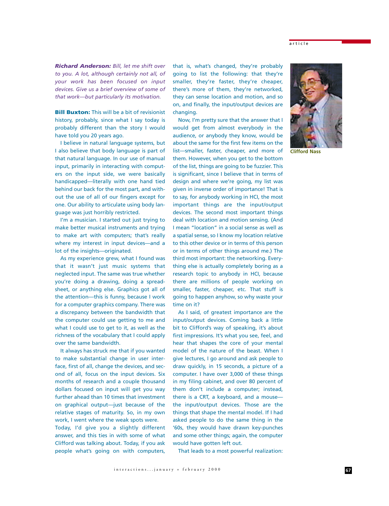*Richard Anderson: Bill, let me shift over to you. A lot, although certainly not all, of your work has been focused on input devices. Give us a brief overview of some of that work—but particularly its motivation.* 

**Bill Buxton:** This will be a bit of revisionist history, probably, since what I say today is probably different than the story I would have told you 20 years ago.

I believe in natural language systems, but I also believe that body language is part of that natural language. In our use of manual input, primarily in interacting with computers on the input side, we were basically handicapped—literally with one hand tied behind our back for the most part, and without the use of all of our fingers except for one. Our ability to articulate using body language was just horribly restricted.

I'm a musician. I started out just trying to make better musical instruments and trying to make art with computers; that's really where my interest in input devices—and a lot of the insights—originated.

As my experience grew, what I found was that it wasn't just music systems that neglected input. The same was true whether you're doing a drawing, doing a spreadsheet, or anything else. Graphics got all of the attention—this is funny, because I work for a computer graphics company. There was a discrepancy between the bandwidth that the computer could use getting to me and what I could use to get to it, as well as the richness of the vocabulary that I could apply over the same bandwidth.

It always has struck me that if you wanted to make substantial change in user interface, first of all, change the devices, and second of all, focus on the input devices. Six months of research and a couple thousand dollars focused on input will get you way further ahead than 10 times that investment on graphical output—just because of the relative stages of maturity. So, in my own work, I went where the weak spots were. Today, I'd give you a slightly different answer, and this ties in with some of what Clifford was talking about. Today, if you ask people what's going on with computers,

that is, what's changed, they're probably going to list the following: that they're smaller, they're faster, they're cheaper, there's more of them, they're networked, they can sense location and motion, and so on, and finally, the input/output devices are changing.

Now, I'm pretty sure that the answer that I would get from almost everybody in the audience, or anybody they know, would be about the same for the first few items on the list—smaller, faster, cheaper, and more of them. However, when you get to the bottom of the list, things are going to be fuzzier. This is significant, since I believe that in terms of design and where we're going, my list was given in inverse order of importance! That is to say, for anybody working in HCI, the most important things are the input/output devices. The second most important things deal with location and motion sensing. (And I mean "location" in a social sense as well as a spatial sense, so I know my location relative to this other device or in terms of this person or in terms of other things around me.) The third most important: the networking. Everything else is actually completely boring as a research topic to anybody in HCI, because there are millions of people working on smaller, faster, cheaper, etc. That stuff is going to happen anyhow, so why waste your time on it?

As I said, of greatest importance are the input/output devices. Coming back a little bit to Clifford's way of speaking, it's about first impressions. It's what you see, feel, and hear that shapes the core of your mental model of the nature of the beast. When I give lectures, I go around and ask people to draw quickly, in 15 seconds, a picture of a computer. I have over 3,000 of these things in my filing cabinet, and over 80 percent of them don't include a computer; instead, there is a CRT, a keyboard, and a mouse the input/output devices. Those are the things that shape the mental model. If I had asked people to do the same thing in the '60s, they would have drawn key-punches and some other things; again, the computer would have gotten left out.

That leads to a most powerful realization:



**Clifford Nass**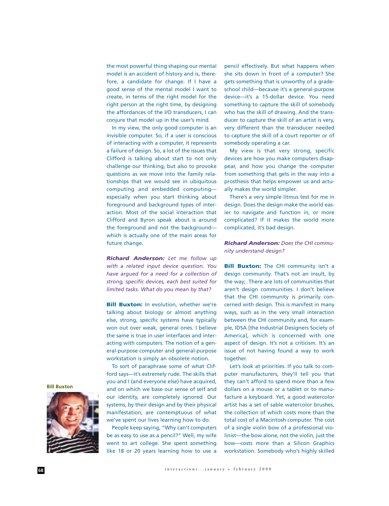the most powerful thing shaping our mental model is an accident of history and is, therefore, a candidate for change. If I have a good sense of the mental model I want to create, in terms of the right model for the right person at the right time, by designing the affordances of the I/O transducers, I can conjure that model up in the user's mind.

In my view, the only good computer is an invisible computer. So, if a user is conscious of interacting with a computer, it represents a failure of design. So, a lot of the issues that Clifford is talking about start to not only challenge our thinking, but also to provoke questions as we move into the family relationships that we would see in ubiquitous computing and embedded computing especially when you start thinking about foreground and background types of interaction. Most of the social interaction that Clifford and Byron speak about is around the foreground and not the background which is actually one of the main areas for future change.

*Richard Anderson: Let me follow up with a related input device question. You have argued for a need for a collection of strong, specific devices, each best suited for limited tasks. What do you mean by that?*

**Bill Buxton:** In evolution, whether we're talking about biology or almost anything else, strong, specific systems have typically won out over weak, general ones. I believe the same is true in user interfaces and interacting with computers. The notion of a general-purpose computer and general-purpose workstation is simply an obsolete notion.

To sort of paraphrase some of what Clifford says—it's extremely rude. The skills that you and I (and everyone else) have acquired, and on which we base our sense of self and our identity, are completely ignored. Our systems, by their design and by their physical manifestation, are contemptuous of what we've spent our lives learning how to do.

People keep saying, "Why can't computers be as easy to use as a pencil?" Well, my wife went to art college. She spent something like 18 or 20 years learning how to use a

pencil effectively. But what happens when she sits down in front of a computer? She gets something that is unworthy of a gradeschool child—because it's a general-purpose device—it's a 15-dollar device. You need something to capture the skill of somebody who has the skill of drawing. And the transducer to capture the skill of an artist is very, very different than the transducer needed to capture the skill of a court reporter or of somebody operating a car.

My view is that very strong, specific devices are how you make computers disappear, and how you change the computer from something that gets in the way into a prosthesis that helps empower us and actually makes the world simpler.

There's a very simple litmus test for me in design. Does the design make the world easier to navigate and function in, or more complicated? If it makes the world more complicated, it's bad design.

*Richard Anderson: Does the CHI community understand design?*

**Bill Buxton:** The CHI community isn't a design community. That's not an insult, by the way;. There are lots of communities that aren't design communities. I don't believe that the CHI community is primarily concerned with design. This is manifest in many ways, such as in the very small interaction between the CHI community and, for example, IDSA [the Industrial Designers Society of America], which is concerned with one aspect of design. It's not a criticism. It's an issue of not having found a way to work together.

Let's look at priorities. If you talk to computer manufacturers, they'll tell you that they can't afford to spend more than a few dollars on a mouse or a tablet or to manufacture a keyboard. Yet, a good watercolor artist has a set of sable watercolor brushes, the collection of which costs more than the total cost of a Macintosh computer. The cost of a single violin bow of a professional violinist—the bow alone, not the violin, just the bow—costs more than a Silicon Graphics workstation. Somebody who's highly skilled

**Bill Buxton**

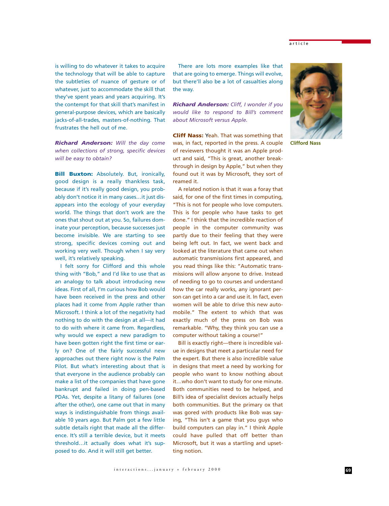is willing to do whatever it takes to acquire the technology that will be able to capture the subtleties of nuance of gesture or of whatever, just to accommodate the skill that they've spent years and years acquiring. It's the contempt for that skill that's manifest in general-purpose devices, which are basically jacks-of-all-trades, masters-of-nothing. That frustrates the hell out of me.

*Richard Anderson: Will the day come when collections of strong, specific devices will be easy to obtain?*

**Bill Buxton:** Absolutely. But, ironically, good design is a really thankless task, because if it's really good design, you probably don't notice it in many cases…it just disappears into the ecology of your everyday world. The things that don't work are the ones that shout out at you. So, failures dominate your perception, because successes just become invisible. We are starting to see strong, specific devices coming out and working very well. Though when I say very well, it's relatively speaking.

I felt sorry for Clifford and this whole thing with "Bob," and I'd like to use that as an analogy to talk about introducing new ideas. First of all, I'm curious how Bob would have been received in the press and other places had it come from Apple rather than Microsoft. I think a lot of the negativity had nothing to do with the design at all—it had to do with where it came from. Regardless, why would we expect a new paradigm to have been gotten right the first time or early on? One of the fairly successful new approaches out there right now is the Palm Pilot. But what's interesting about that is that everyone in the audience probably can make a list of the companies that have gone bankrupt and failed in doing pen-based PDAs. Yet, despite a litany of failures (one after the other), one came out that in many ways is indistinguishable from things available 10 years ago. But Palm got a few little subtle details right that made all the difference. It's still a terrible device, but it meets threshold…it actually does what it's supposed to do. And it will still get better.

There are lots more examples like that that are going to emerge. Things will evolve, but there'll also be a lot of casualties along the way.

*Richard Anderson: Cliff, I wonder if you would like to respond to Bill's comment about Microsoft versus Apple.*

**Cliff Nass:** Yeah. That was something that was, in fact, reported in the press. A couple of reviewers thought it was an Apple product and said, "This is great, another breakthrough in design by Apple," but when they found out it was by Microsoft, they sort of reamed it.

A related notion is that it was a foray that said, for one of the first times in computing, "This is not for people who love computers. This is for people who have tasks to get done." I think that the incredible reaction of people in the computer community was partly due to their feeling that they were being left out. In fact, we went back and looked at the literature that came out when automatic transmissions first appeared, and you read things like this: "Automatic transmissions will allow anyone to drive. Instead of needing to go to courses and understand how the car really works, any ignorant person can get into a car and use it. In fact, even women will be able to drive this new automobile." The extent to which that was exactly much of the press on Bob was remarkable. "Why, they think you can use a computer without taking a course!"

Bill is exactly right—there is incredible value in designs that meet a particular need for the expert. But there is also incredible value in designs that meet a need by working for people who want to know nothing about it…who don't want to study for one minute. Both communities need to be helped, and Bill's idea of specialist devices actually helps both communities. But the primary ox that was gored with products like Bob was saying, "This isn't a game that you guys who build computers can play in." I think Apple could have pulled that off better than Microsoft, but it was a startling and upsetting notion.



**Clifford Nass**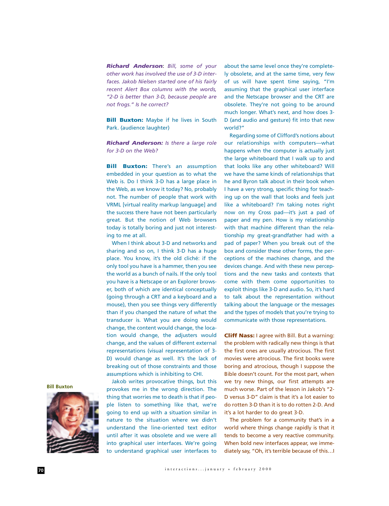*Richard Anderson*: *Bill, some of your other work has involved the use of 3-D interfaces. Jakob Nielsen started one of his fairly recent Alert Box columns with the words, "2-D is better than 3-D, because people are not frogs." Is he correct?*

**Bill Buxton:** Maybe if he lives in South Park. (audience laughter)

*Richard Anderson: Is there a large role for 3-D on the Web?*

**Bill Buxton:** There's an assumption embedded in your question as to what the Web is. Do I think 3-D has a large place in the Web, as we know it today? No, probably not. The number of people that work with VRML [virtual reality markup language] and the success there have not been particularly great. But the notion of Web browsers today is totally boring and just not interesting to me at all.

When I think about 3-D and networks and sharing and so on, I think 3-D has a huge place. You know, it's the old cliché: if the only tool you have is a hammer, then you see the world as a bunch of nails. If the only tool you have is a Netscape or an Explorer browser, both of which are identical conceptually (going through a CRT and a keyboard and a mouse), then you see things very differently than if you changed the nature of what the transducer is. What you are doing would change, the content would change, the location would change, the adjusters would change, and the values of different external representations (visual representation of 3- D) would change as well. It's the lack of breaking out of those constraints and those assumptions which is inhibiting to CHI.

Jakob writes provocative things, but this provokes me in the wrong direction. The thing that worries me to death is that if people listen to something like that, we're going to end up with a situation similar in nature to the situation where we didn't understand the line-oriented text editor until after it was obsolete and we were all into graphical user interfaces. We're going to understand graphical user interfaces to

about the same level once they're completely obsolete, and at the same time, very few of us will have spent time saying, "I'm assuming that the graphical user interface and the Netscape browser and the CRT are obsolete. They're not going to be around much longer. What's next, and how does 3- D (and audio and gesture) fit into that new world?"

Regarding some of Clifford's notions about our relationships with computers—what happens when the computer is actually just the large whiteboard that I walk up to and that looks like any other whiteboard? Will we have the same kinds of relationships that he and Byron talk about in their book when I have a very strong, specific thing for teaching up on the wall that looks and feels just like a whiteboard? I'm taking notes right now on my Cross pad—it's just a pad of paper and my pen. How is my relationship with that machine different than the relationship my great-grandfather had with a pad of paper? When you break out of the box and consider these other forms, the perceptions of the machines change, and the devices change. And with these new perceptions and the new tasks and contexts that come with them come opportunities to exploit things like 3-D and audio. So, it's hard to talk about the representation without talking about the language or the messages and the types of models that you're trying to communicate with those representations.

**Cliff Nass:** I agree with Bill. But a warning: the problem with radically new things is that the first ones are usually atrocious. The first movies were atrocious. The first books were boring and atrocious, though I suppose the Bible doesn't count. For the most part, when we try new things, our first attempts are much worse. Part of the lesson in Jakob's "2- D versus 3-D" claim is that it's a lot easier to do rotten 3-D than it is to do rotten 2-D. And it's a lot harder to do great 3-D.

The problem for a community that's in a world where things change rapidly is that it tends to become a very reactive community. When bold new interfaces appear, we immediately say, "Oh, it's terrible because of this…I

**Bill Buxton**

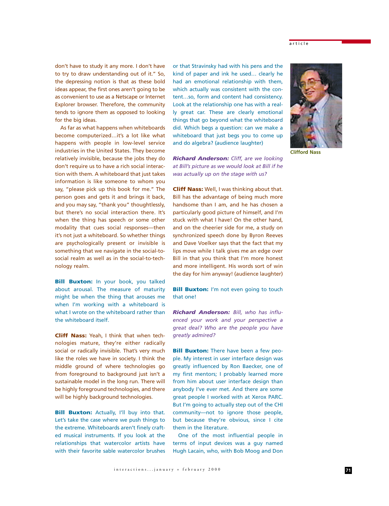don't have to study it any more. I don't have to try to draw understanding out of it." So, the depressing notion is that as these bold ideas appear, the first ones aren't going to be as convenient to use as a Netscape or Internet Explorer browser. Therefore, the community tends to ignore them as opposed to looking for the big ideas.

As far as what happens when whiteboards become computerized…it's a lot like what happens with people in low-level service industries in the United States. They become relatively invisible, because the jobs they do don't require us to have a rich social interaction with them. A whiteboard that just takes information is like someone to whom you say, "please pick up this book for me." The person goes and gets it and brings it back, and you may say, "thank you" thoughtlessly, but there's no social interaction there. It's when the thing has speech or some other modality that cues social responses—then it's not just a whiteboard. So whether things are psychologically present or invisible is something that we navigate in the social-tosocial realm as well as in the social-to-technology realm.

**Bill Buxton:** In your book, you talked about arousal. The measure of maturity might be when the thing that arouses me when I'm working with a whiteboard is what I wrote on the whiteboard rather than the whiteboard itself.

**Cliff Nass:** Yeah, I think that when technologies mature, they're either radically social or radically invisible. That's very much like the roles we have in society. I think the middle ground of where technologies go from foreground to background just isn't a sustainable model in the long run. There will be highly foreground technologies, and there will be highly background technologies.

**Bill Buxton:** Actually, I'll buy into that. Let's take the case where we push things to the extreme. Whiteboards aren't finely crafted musical instruments. If you look at the relationships that watercolor artists have with their favorite sable watercolor brushes or that Stravinsky had with his pens and the kind of paper and ink he used… clearly he had an emotional relationship with them, which actually was consistent with the content…so, form and content had consistency. Look at the relationship one has with a really great car. These are clearly emotional things that go beyond what the whiteboard did. Which begs a question: can we make a whiteboard that just begs you to come up and do algebra? (audience laughter)

*Richard Anderson: Cliff, are we looking at Bill's picture as we would look at Bill if he was actually up on the stage with us?*

**Cliff Nass:** Well, I was thinking about that. Bill has the advantage of being much more handsome than I am, and he has chosen a particularly good picture of himself, and I'm stuck with what I have! On the other hand, and on the cheerier side for me, a study on synchronized speech done by Byron Reeves and Dave Voelker says that the fact that my lips move while I talk gives me an edge over Bill in that you think that I'm more honest and more intelligent. His words sort of win the day for him anyway! (audience laughter)

**Bill Buxton:** I'm not even going to touch that one!

*Richard Anderson: Bill, who has influenced your work and your perspective a great deal? Who are the people you have greatly admired?*

**Bill Buxton:** There have been a few people. My interest in user interface design was greatly influenced by Ron Baecker, one of my first mentors; I probably learned more from him about user interface design than anybody I've ever met. And there are some great people I worked with at Xerox PARC. But I'm going to actually step out of the CHI community—not to ignore those people, but because they're obvious, since I cite them in the literature.

One of the most influential people in terms of input devices was a guy named Hugh Lacain, who, with Bob Moog and Don



**Clifford Nass**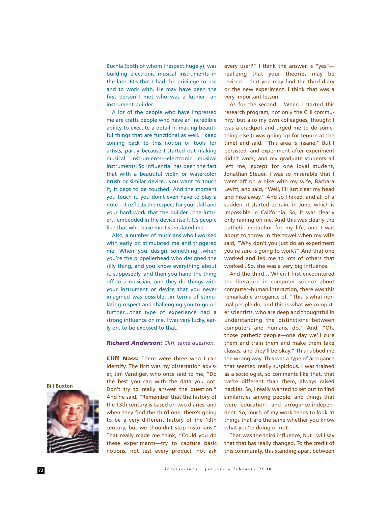Buchla (both of whom I respect hugely), was building electronic musical instruments in the late '60s that I had the privilege to use and to work with. He may have been the first person I met who was a luthier—an instrument builder.

A lot of the people who have impressed me are crafts people who have an incredible ability to execute a detail in making beautiful things that are functional as well. I keep coming back to this notion of tools for artists, partly because I started out making musical instruments—electronic musical instruments. So influential has been the fact that with a beautiful violin or watercolor brush or similar device…you want to touch it, it begs to be touched. And the moment you touch it, you don't even have to play a note—it reflects the respect for your skill and your hard work that the builder…the luthier…embedded in the device itself. It's people like that who have most stimulated me.

Also, a number of musicians who I worked with early on stimulated me and triggered me. When you design something…when you're the propellerhead who designed the silly thing, and you know everything about it, supposedly, and then you hand the thing off to a musician, and they do things with your instrument or device that you never imagined was possible…in terms of stimulating respect and challenging you to go on further…that type of experience had a strong influence on me. I was very lucky, early on, to be exposed to that.

## *Richard Anderson: Cliff, same question.*

**Cliff Nass:** There were three who I can identify. The first was my dissertation adviser, Jim Vandiger, who once said to me, "Do the best you can with the data you got. Don't try to really answer the question." And he said, "Remember that the history of the 13th century is based on two diaries, and when they find the third one, there's going to be a very different history of the 13th century, but we shouldn't stop historians." That really made me think, "Could you do these experiments—try to capture basic notions, not test every product, not ask

every user?" I think the answer is "yes" realizing that your theories may be revised… that you may find the third diary or the new experiment. I think that was a very important lesson.

As for the second… When I started this research program, not only the CHI community, but also my own colleagues, thought I was a crackpot and urged me to do something else (I was going up for tenure at the time) and said, "This area is insane." But I persisted, and experiment after experiment didn't work, and my graduate students all left me, except for one loyal student, Jonathan Steuer. I was so miserable that I went off on a hike with my wife, Barbara Levitt, and said, "Well, I'll just clear my head and hike away." And so I hiked, and all of a sudden, it started to rain, in June, which is impossible in California. So, it was clearly only raining on me. And this was clearly the bathetic metaphor for my life, and I was about to throw in the towel when my wife said, "Why don't you just do an experiment you're sure is going to work?" And that one worked and led me to lots of others that worked.. So, she was a very big influence.

And the third… When I first encountered the literature in computer science about computer–human interaction, there was this remarkable arrogance of, "This is what normal people do, and this is what we computer scientists, who are deep and thoughtful in understanding the distinctions between computers and humans, do." And, "Oh, those pathetic people—one day we'll cure them and train them and make them take classes, and they'll be okay." This rubbed me the wrong way. This was a type of arrogance that seemed really suspicious. I was trained as a sociologist, so comments like that, that we're different than them, always raised hackles. So, I really wanted to set out to find similarities among people, and things that were education- and arrogance-independent. So, much of my work tends to look at things that are the same whether you know what you're doing or not.

That was the third influence, but I will say that that has really changed. To the credit of this community, this standing apart between



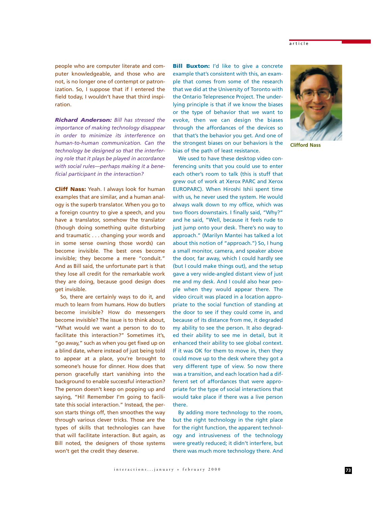people who are computer literate and computer knowledgeable, and those who are not, is no longer one of contempt or patronization. So, I suppose that if I entered the field today, I wouldn't have that third inspiration.

*Richard Anderson: Bill has stressed the importance of making technology disappear in order to minimize its interference on human-to-human communication. Can the technology be designed so that the interfering role that it plays be played in accordance with social rules—perhaps making it a beneficial participant in the interaction?*

**Cliff Nass:** Yeah. I always look for human examples that are similar, and a human analogy is the superb translator. When you go to a foreign country to give a speech, and you have a translator, somehow the translator (though doing something quite disturbing and traumatic . . . changing your words and in some sense owning those words) can become invisible. The best ones become invisible; they become a mere "conduit." And as Bill said, the unfortunate part is that they lose all credit for the remarkable work they are doing, because good design does get invisible.

So, there are certainly ways to do it, and much to learn from humans. How do butlers become invisible? How do messengers become invisible? The issue is to think about, "What would we want a person to do to facilitate this interaction?" Sometimes it's, "go away," such as when you get fixed up on a blind date, where instead of just being told to appear at a place, you're brought to someone's house for dinner. How does that person gracefully start vanishing into the background to enable successful interaction? The person doesn't keep on popping up and saying, "Hi! Remember I'm going to facilitate this social interaction." Instead, the person starts things off, then smoothes the way through various clever tricks. Those are the types of skills that technologies can have that will facilitate interaction. But again, as Bill noted, the designers of those systems won't get the credit they deserve.

**Bill Buxton:** I'd like to give a concrete example that's consistent with this, an example that comes from some of the research that we did at the University of Toronto with the Ontario Telepresence Project. The underlying principle is that if we know the biases or the type of behavior that we want to evoke, then we can design the biases through the affordances of the devices so that that's the behavior you get. And one of the strongest biases on our behaviors is the bias of the path of least resistance.

We used to have these desktop video conferencing units that you could use to enter each other's room to talk (this is stuff that grew out of work at Xerox PARC and Xerox EUROPARC). When Hiroshi Ishii spent time with us, he never used the system. He would always walk down to my office, which was two floors downstairs. I finally said, "Why?" and he said, "Well, because it feels rude to just jump onto your desk. There's no way to approach." (Marilyn Mantei has talked a lot about this notion of "approach.") So, I hung a small monitor, camera, and speaker above the door, far away, which I could hardly see (but I could make things out), and the setup gave a very wide-angled distant view of just me and my desk. And I could also hear people when they would appear there. The video circuit was placed in a location appropriate to the social function of standing at the door to see if they could come in, and because of its distance from me, it degraded my ability to see the person. It also degraded their ability to see me in detail, but it enhanced their ability to see global context. If it was OK for them to move in, then they could move up to the desk where they got a very different type of view. So now there was a transition, and each location had a different set of affordances that were appropriate for the type of social interactions that would take place if there was a live person there.

By adding more technology to the room, but the right technology in the right place for the right function, the apparent technology and intrusiveness of the technology were greatly reduced; it didn't interfere, but there was much more technology there. And



**Clifford Nass**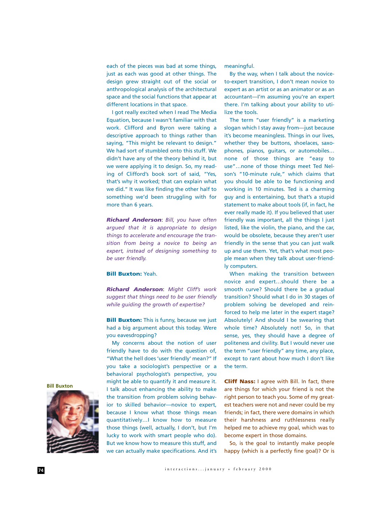each of the pieces was bad at some things, just as each was good at other things. The design grew straight out of the social or anthropological analysis of the architectural space and the social functions that appear at different locations in that space.

I got really excited when I read The Media Equation, because I wasn't familiar with that work. Clifford and Byron were taking a descriptive approach to things rather than saying, "This might be relevant to design." We had sort of stumbled onto this stuff. We didn't have any of the theory behind it, but we were applying it to design. So, my reading of Clifford's book sort of said, "Yes, that's why it worked; that can explain what we did." It was like finding the other half to something we'd been struggling with for more than 6 years.

*Richard Anderson*: *Bill, you have often argued that it is appropriate to design things to accelerate and encourage the transition from being a novice to being an expert, instead of designing something to be user friendly.*

## **Bill Buxton:** Yeah.

*Richard Anderson*: *Might Cliff's work suggest that things need to be user friendly while guiding the growth of expertise?*

**Bill Buxton:** This is funny, because we just had a big argument about this today. Were you eavesdropping?

My concerns about the notion of user friendly have to do with the question of, "What the hell does 'user friendly' mean?" If you take a sociologist's perspective or a behavioral psychologist's perspective, you might be able to quantify it and measure it. I talk about enhancing the ability to make the transition from problem solving behavior to skilled behavior—novice to expert, because I know what those things mean quantitatively…I know how to measure those things (well, actually, I don't, but I'm lucky to work with smart people who do). But we know how to measure this stuff, and we can actually make specifications. And it's meaningful.

By the way, when I talk about the noviceto-expert transition, I don't mean novice to expert as an artist or as an animator or as an accountant—I'm assuming you're an expert there. I'm talking about your ability to utilize the tools.

The term "user friendly" is a marketing slogan which I stay away from—just because it's become meaningless. Things in our lives, whether they be buttons, shoelaces, saxophones, pianos, guitars, or automobiles… none of those things are "easy to use"…none of those things meet Ted Nelson's "10-minute rule," which claims that you should be able to be functioning and working in 10 minutes. Ted is a charming guy and is entertaining, but that's a stupid statement to make about tools (if, in fact, he ever really made it). If you believed that user friendly was important, all the things I just listed, like the violin, the piano, and the car, would be obsolete, because they aren't user friendly in the sense that you can just walk up and use them. Yet, that's what most people mean when they talk about user-friendly computers.

When making the transition between novice and expert…should there be a smooth curve? Should there be a gradual transition? Should what I do in 30 stages of problem solving be developed and reinforced to help me later in the expert stage? Absolutely! And should I be swearing that whole time? Absolutely not! So, in that sense, yes, they should have a degree of politeness and civility. But I would never use the term "user friendly" any time, any place, except to rant about how much I don't like the term.

**Cliff Nass:** I agree with Bill. In fact, there are things for which your friend is not the right person to teach you. Some of my greatest teachers were not and never could be my friends; in fact, there were domains in which their harshness and ruthlessness really helped me to achieve my goal, which was to become expert in those domains.

So, is the goal to instantly make people happy (which is a perfectly fine goal)? Or is



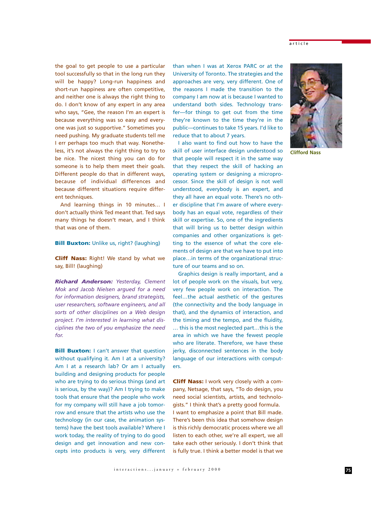the goal to get people to use a particular tool successfully so that in the long run they will be happy? Long-run happiness and short-run happiness are often competitive, and neither one is always the right thing to do. I don't know of any expert in any area who says, "Gee, the reason I'm an expert is because everything was so easy and everyone was just so supportive." Sometimes you need pushing. My graduate students tell me I err perhaps too much that way. Nonetheless, it's not always the right thing to try to be nice. The nicest thing you can do for someone is to help them meet their goals. Different people do that in different ways, because of individual differences and because different situations require different techniques.

And learning things in 10 minutes… I don't actually think Ted meant that. Ted says many things he doesn't mean, and I think that was one of them.

## **Bill Buxton:** Unlike us, right? (laughing)

**Cliff Nass:** Right! We stand by what we say, Bill! (laughing)

*Richard Anderson: Yesterday, Clement Mok and Jacob Nielsen argued for a need for information designers, brand strategists, user researchers, software engineers, and all sorts of other disciplines on a Web design project. I'm interested in learning what disciplines the two of you emphasize the need for.*

**Bill Buxton:** I can't answer that question without qualifying it. Am I at a university? Am I at a research lab? Or am I actually building and designing products for people who are trying to do serious things (and art is serious, by the way)? Am I trying to make tools that ensure that the people who work for my company will still have a job tomorrow and ensure that the artists who use the technology (in our case, the animation systems) have the best tools available? Where I work today, the reality of trying to do good design and get innovation and new concepts into products is very, very different than when I was at Xerox PARC or at the University of Toronto. The strategies and the approaches are very, very different. One of the reasons I made the transition to the company I am now at is because I wanted to understand both sides. Technology transfer—for things to get out from the time they're known to the time they're in the public—continues to take 15 years. I'd like to reduce that to about 7 years.

I also want to find out how to have the skill of user interface design understood so that people will respect it in the same way that they respect the skill of hacking an operating system or designing a microprocessor. Since the skill of design is not well understood, everybody is an expert, and they all have an equal vote. There's no other discipline that I'm aware of where everybody has an equal vote, regardless of their skill or expertise. So, one of the ingredients that will bring us to better design within companies and other organizations is getting to the essence of what the core elements of design are that we have to put into place…in terms of the organizational structure of our teams and so on.

Graphics design is really important, and a lot of people work on the visuals, but very, very few people work on interaction. The feel…the actual aesthetic of the gestures (the connectivity and the body language in that), and the dynamics of interaction, and the timing and the tempo, and the fluidity, … this is the most neglected part…this is the area in which we have the fewest people who are literate. Therefore, we have these jerky, disconnected sentences in the body language of our interactions with computers.

**Cliff Nass:** I work very closely with a company, Netsage, that says, "To do design, you need social scientists, artists, and technologists." I think that's a pretty good formula. I want to emphasize a point that Bill made. There's been this idea that somehow design is this richly democratic process where we all listen to each other, we're all expert, we all take each other seriously. I don't think that is fully true. I think a better model is that we



**Clifford Nass**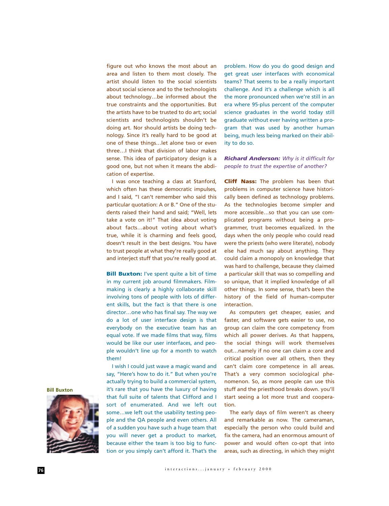figure out who knows the most about an area and listen to them most closely. The artist should listen to the social scientists about social science and to the technologists about technology…be informed about the true constraints and the opportunities. But the artists have to be trusted to do art; social scientists and technologists shouldn't be doing art. Nor should artists be doing technology. Since it's really hard to be good at one of these things…let alone two or even three…I think that division of labor makes sense. This idea of participatory design is a good one, but not when it means the abdication of expertise.

I was once teaching a class at Stanford, which often has these democratic impulses, and I said, "I can't remember who said this particular quotation: A or B." One of the students raised their hand and said; "Well, lets take a vote on it!" That idea about voting about facts…about voting about what's true, while it is charming and feels good, doesn't result in the best designs. You have to trust people at what they're really good at and interject stuff that you're really good at.

**Bill Buxton:** I've spent quite a bit of time in my current job around filmmakers. Filmmaking is clearly a highly collaborate skill involving tons of people with lots of different skills, but the fact is that there is one director…one who has final say. The way we do a lot of user interface design is that everybody on the executive team has an equal vote. If we made films that way, films would be like our user interfaces, and people wouldn't line up for a month to watch them!

I wish I could just wave a magic wand and say, "Here's how to do it." But when you're actually trying to build a commercial system, it's rare that you have the luxury of having that full suite of talents that Clifford and I sort of enumerated. And we left out some…we left out the usability testing people and the QA people and even others. All of a sudden you have such a huge team that you will never get a product to market, because either the team is too big to function or you simply can't afford it. That's the

problem. How do you do good design and get great user interfaces with economical teams? That seems to be a really important challenge. And it's a challenge which is all the more pronounced when we're still in an era where 95-plus percent of the computer science graduates in the world today still graduate without ever having written a program that was used by another human being, much less being marked on their ability to do so.

*Richard Anderson: Why is it difficult for people to trust the expertise of another?*

**Cliff Nass:** The problem has been that problems in computer science have historically been defined as technology problems. As the technologies become simpler and more accessible…so that you can use complicated programs without being a programmer, trust becomes equalized. In the days when the only people who could read were the priests (who were literate), nobody else had much say about anything. They could claim a monopoly on knowledge that was hard to challenge, because they claimed a particular skill that was so compelling and so unique, that it implied knowledge of all other things. In some sense, that's been the history of the field of human–computer interaction.

As computers get cheaper, easier, and faster, and software gets easier to use, no group can claim the core competency from which all power derives. As that happens, the social things will work themselves out…namely if no one can claim a core and critical position over all others, then they can't claim core competence in all areas. That's a very common sociological phenomenon. So, as more people can use this stuff and the priesthood breaks down. you'll start seeing a lot more trust and cooperation.

The early days of film weren't as cheery and remarkable as now. The cameraman, especially the person who could build and fix the camera, had an enormous amount of power and would often co-opt that into areas, such as directing, in which they might

**Bill Buxton**

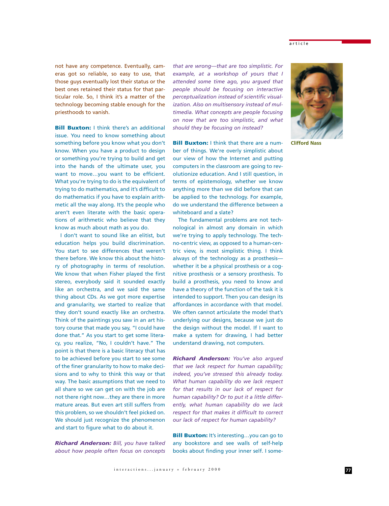#### article

not have any competence. Eventually, cameras got so reliable, so easy to use, that those guys eventually lost their status or the best ones retained their status for that particular role. So, I think it's a matter of the technology becoming stable enough for the priesthoods to vanish.

**Bill Buxton:** I think there's an additional issue. You need to know something about something before you know what you don't know. When you have a product to design or something you're trying to build and get into the hands of the ultimate user, you want to move…you want to be efficient. What you're trying to do is the equivalent of trying to do mathematics, and it's difficult to do mathematics if you have to explain arithmetic all the way along. It's the people who aren't even literate with the basic operations of arithmetic who believe that they know as much about math as you do.

I don't want to sound like an elitist, but education helps you build discrimination. You start to see differences that weren't there before. We know this about the history of photography in terms of resolution. We know that when Fisher played the first stereo, everybody said it sounded exactly like an orchestra, and we said the same thing about CDs. As we got more expertise and granularity, we started to realize that they don't sound exactly like an orchestra. Think of the paintings you saw in an art history course that made you say, "I could have done that." As you start to get some literacy, you realize, "No, I couldn't have." The point is that there is a basic literacy that has to be achieved before you start to see some of the finer granularity to how to make decisions and to why to think this way or that way. The basic assumptions that we need to all share so we can get on with the job are not there right now…they are there in more mature areas. But even art still suffers from this problem, so we shouldn't feel picked on. We should just recognize the phenomenon and start to figure what to do about it.

*Richard Anderson: Bill, you have talked about how people often focus on concepts*

*that are wrong—that are too simplistic. For example, at a workshop of yours that I attended some time ago, you argued that people should be focusing on interactive perceptualization instead of scientific visualization. Also on multisensory instead of multimedia. What concepts are people focusing on now that are too simplistic, and what should they be focusing on instead?*

**Bill Buxton:** I think that there are a number of things. We're overly simplistic about our view of how the Internet and putting computers in the classroom are going to revolutionize education. And I still question, in terms of epistemology, whether we know anything more than we did before that can be applied to the technology. For example, do we understand the difference between a whiteboard and a slate?

The fundamental problems are not technological in almost any domain in which we're trying to apply technology. The techno-centric view, as opposed to a human-centric view, is most simplistic thing. I think always of the technology as a prosthesis whether it be a physical prosthesis or a cognitive prosthesis or a sensory prosthesis. To build a prosthesis, you need to know and have a theory of the function of the task it is intended to support. Then you can design its affordances in accordance with that model. We often cannot articulate the model that's underlying our designs, because we just do the design without the model. If I want to make a system for drawing, I had better understand drawing, not computers.

*Richard Anderson: You've also argued that we lack respect for human capability; indeed, you've stressed this already today. What human capability do we lack respect for that results in our lack of respect for human capability? Or to put it a little differently, what human capability do we lack respect for that makes it difficult to correct our lack of respect for human capability?*

**Bill Buxton:** It's interesting...you can go to any bookstore and see walls of self-help books about finding your inner self. I some-



**Clifford Nass**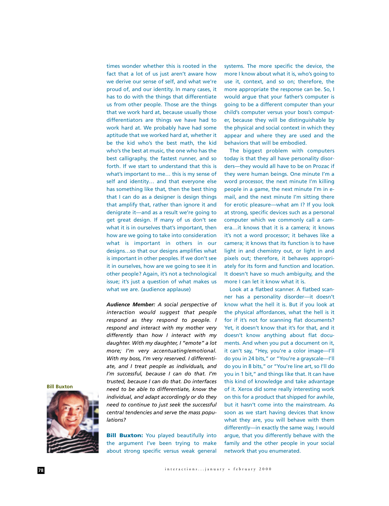times wonder whether this is rooted in the fact that a lot of us just aren't aware how we derive our sense of self, and what we're proud of, and our identity. In many cases, it has to do with the things that differentiate us from other people. Those are the things that we work hard at, because usually those differentiators are things we have had to work hard at. We probably have had some aptitude that we worked hard at, whether it be the kid who's the best math, the kid who's the best at music, the one who has the best calligraphy, the fastest runner, and so forth. If we start to understand that this is what's important to me… this is my sense of self and identity… and that everyone else has something like that, then the best thing that I can do as a designer is design things that amplify that, rather than ignore it and denigrate it—and as a result we're going to get great design. If many of us don't see what it is in ourselves that's important, then how are we going to take into consideration what is important in others in our designs…so that our designs amplifies what is important in other peoples. If we don't see it in ourselves, how are we going to see it in other people? Again, it's not a technological issue; it's just a question of what makes us what we are. (audience applause)

*Audience Member: A social perspective of interaction would suggest that people respond as they respond to people. I respond and interact with my mother very differently than how I interact with my daughter. With my daughter, I "emote" a lot more; I'm very accentuating/emotional. With my boss, I'm very reserved. I differentiate, and I treat people as individuals, and I'm successful, because I can do that. I'm trusted, because I can do that. Do interfaces need to be able to differentiate, know the individual, and adapt accordingly or do they need to continue to just seek the successful central tendencies and serve the mass populations?*

**Bill Buxton**



**Bill Buxton:** You played beautifully into the argument I've been trying to make about strong specific versus weak general systems. The more specific the device, the more I know about what it is, who's going to use it, context, and so on; therefore, the more appropriate the response can be. So, I would argue that your father's computer is going to be a different computer than your child's computer versus your boss's computer, because they will be distinguishable by the physical and social context in which they appear and where they are used and the behaviors that will be embodied.

The biggest problem with computers today is that they all have personality disorders—they would all have to be on Prozac if they were human beings. One minute I'm a word processor, the next minute I'm killing people in a game, the next minute I'm in email, and the next minute I'm sitting there for erotic pleasure—what am I? If you look at strong, specific devices such as a personal computer which we commonly call a camera…it knows that it is a camera; it knows it's not a word processor; it behaves like a camera; it knows that its function is to have light in and chemistry out, or light in and pixels out; therefore, it behaves appropriately for its form and function and location. It doesn't have so much ambiguity, and the more I can let it know what it is.

Look at a flatbed scanner. A flatbed scanner has a personality disorder—it doesn't know what the hell it is. But if you look at the physical affordances, what the hell is it for if it's not for scanning flat documents? Yet, it doesn't know that it's for that, and it doesn't know anything about flat documents. And when you put a document on it, it can't say, "Hey, you're a color image—I'll do you in 24 bits," or "You're a grayscale—I'll do you in 8 bits," or "You're line art, so I'll do you in 1 bit," and things like that. It can have this kind of knowledge and take advantage of it. Xerox did some really interesting work on this for a product that shipped for awhile, but it hasn't come into the mainstream. As soon as we start having devices that know what they are, you will behave with them differently—in exactly the same way, I would argue, that you differently behave with the family and the other people in your social network that you enumerated.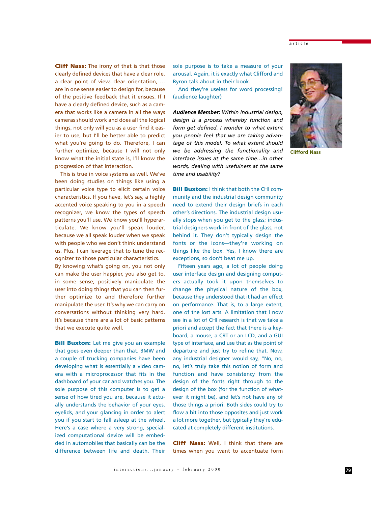**Cliff Nass:** The irony of that is that those clearly defined devices that have a clear role, a clear point of view, clear orientation, … are in one sense easier to design for, because of the positive feedback that it ensues. If I have a clearly defined device, such as a camera that works like a camera in all the ways cameras should work and does all the logical things, not only will you as a user find it easier to use, but I'll be better able to predict what you're going to do. Therefore, I can further optimize, because I will not only know what the initial state is, I'll know the progression of that interaction.

This is true in voice systems as well. We've been doing studies on things like using a particular voice type to elicit certain voice characteristics. If you have, let's say, a highly accented voice speaking to you in a speech recognizer, we know the types of speech patterns you'll use. We know you'll hyperarticulate. We know you'll speak louder, because we all speak louder when we speak with people who we don't think understand us. Plus, I can leverage that to tune the recognizer to those particular characteristics. By knowing what's going on, you not only

can make the user happier, you also get to, in some sense, positively manipulate the user into doing things that you can then further optimize to and therefore further manipulate the user. It's why we can carry on conversations without thinking very hard. It's because there are a lot of basic patterns that we execute quite well.

**Bill Buxton:** Let me give you an example that goes even deeper than that. BMW and a couple of trucking companies have been developing what is essentially a video camera with a microprocessor that fits in the dashboard of your car and watches you. The sole purpose of this computer is to get a sense of how tired you are, because it actually understands the behavior of your eyes, eyelids, and your glancing in order to alert you if you start to fall asleep at the wheel. Here's a case where a very strong, specialized computational device will be embedded in automobiles that basically can be the difference between life and death. Their sole purpose is to take a measure of your arousal. Again, it is exactly what Clifford and Byron talk about in their book.

And they're useless for word processing! (audience laughter)

*Audience Member: Within industrial design, design is a process whereby function and form get defined. I wonder to what extent you people feel that we are taking advantage of this model. To what extent should we be addressing the functionality and interface issues at the same time…in other words, dealing with usefulness at the same time and usability?*

**Bill Buxton:** I think that both the CHI community and the industrial design community need to extend their design briefs in each other's directions. The industrial design usually stops when you get to the glass; industrial designers work in front of the glass, not behind it. They don't typically design the fonts or the icons—they're working on things like the box. Yes, I know there are exceptions, so don't beat me up.

Fifteen years ago, a lot of people doing user interface design and designing computers actually took it upon themselves to change the physical nature of the box, because they understood that it had an effect on performance. That is, to a large extent, one of the lost arts. A limitation that I now see in a lot of CHI research is that we take a priori and accept the fact that there is a keyboard, a mouse, a CRT or an LCD, and a GUI type of interface, and use that as the point of departure and just try to refine that. Now, any industrial designer would say, "No, no, no, let's truly take this notion of form and function and have consistency from the design of the fonts right through to the design of the box (for the function of whatever it might be), and let's not have any of those things a priori. Both sides could try to flow a bit into those opposites and just work a lot more together, but typically they're educated at completely different institutions.

**Cliff Nass:** Well, I think that there are times when you want to accentuate form



**Clifford Nass**